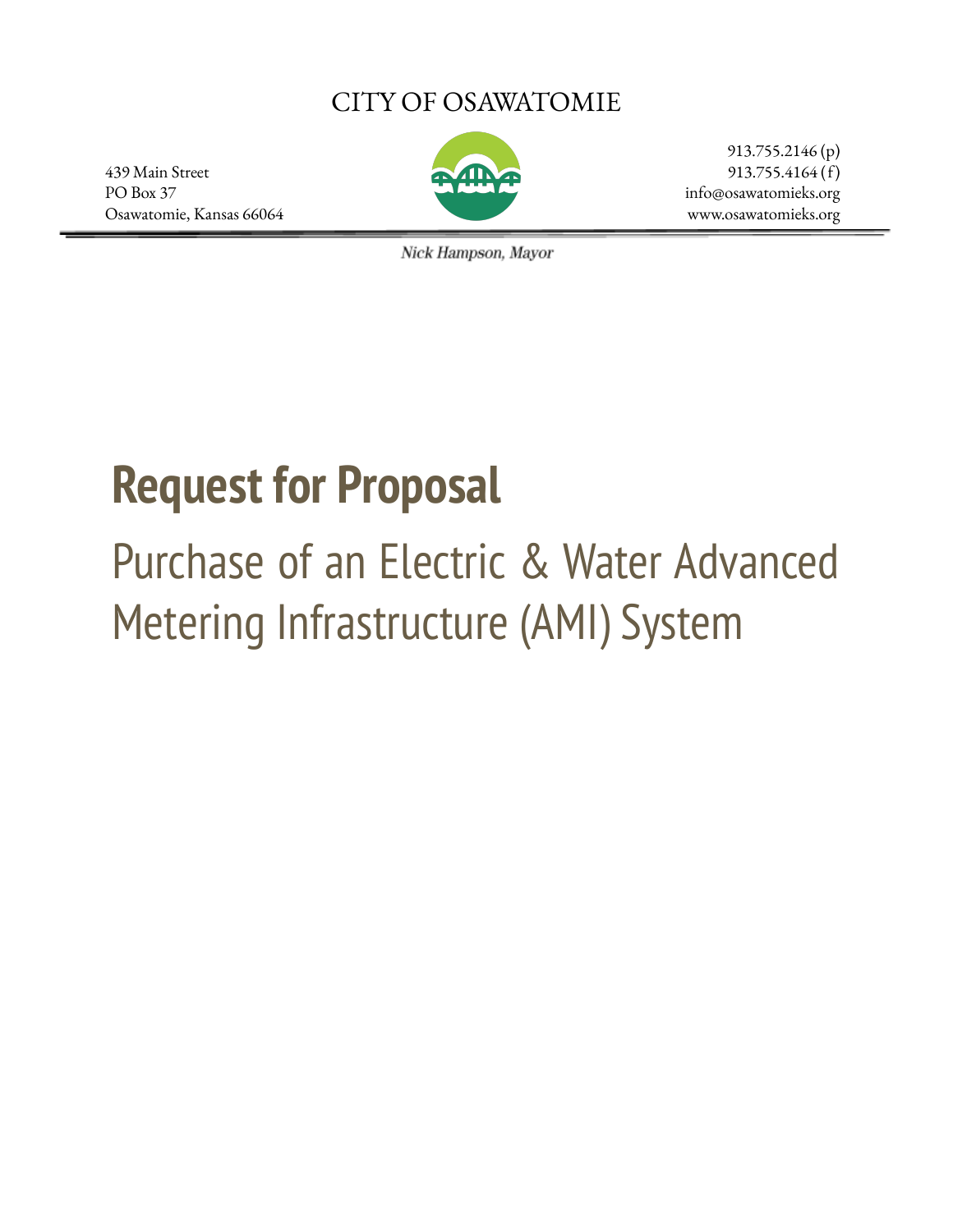# CITY OF OSAWATOMIE

439 Main Street 913.755.4164 (f) PO Box 37 info@osawatomieks.org Osawatomie, Kansas 66064 www.osawatomieks.org



913.755.2146 (p)

Nick Hampson, Mayor

# **Request for Proposal**

# Purchase of an Electric & Water Advanced Metering Infrastructure (AMI) System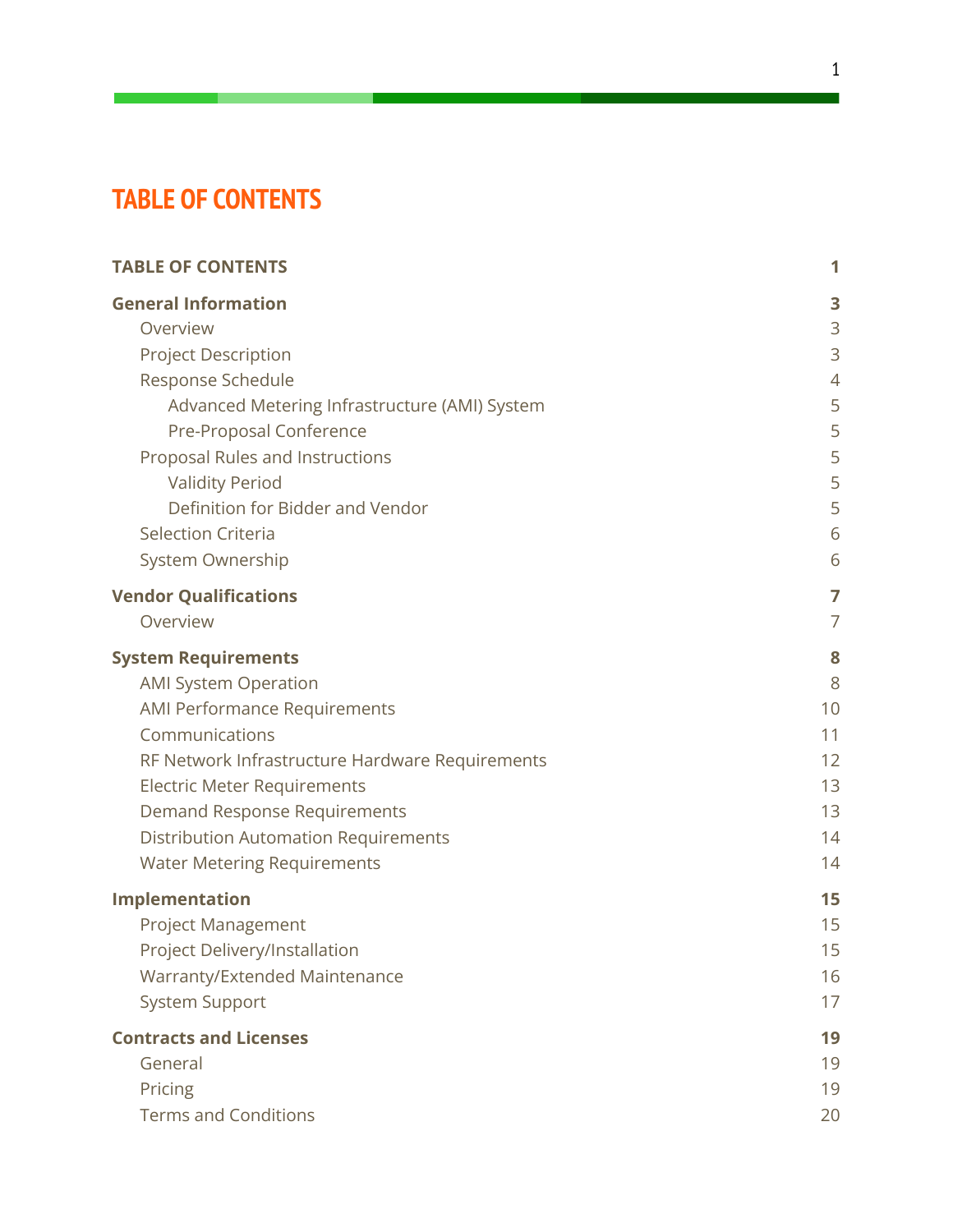# <span id="page-1-0"></span>**TABLE OF CONTENTS**

| <b>TABLE OF CONTENTS</b>                        | 1  |
|-------------------------------------------------|----|
| <b>General Information</b>                      | 3  |
| Overview                                        | 3  |
| <b>Project Description</b>                      | 3  |
| Response Schedule                               | 4  |
| Advanced Metering Infrastructure (AMI) System   | 5  |
| Pre-Proposal Conference                         | 5  |
| Proposal Rules and Instructions                 | 5  |
| <b>Validity Period</b>                          | 5  |
| Definition for Bidder and Vendor                | 5  |
| <b>Selection Criteria</b>                       | 6  |
| System Ownership                                | 6  |
| <b>Vendor Qualifications</b>                    | 7  |
| Overview                                        | 7  |
| <b>System Requirements</b>                      | 8  |
| <b>AMI System Operation</b>                     | 8  |
| <b>AMI Performance Requirements</b>             | 10 |
| Communications                                  | 11 |
| RF Network Infrastructure Hardware Requirements | 12 |
| <b>Electric Meter Requirements</b>              | 13 |
| Demand Response Requirements                    | 13 |
| <b>Distribution Automation Requirements</b>     | 14 |
| <b>Water Metering Requirements</b>              | 14 |
| Implementation                                  | 15 |
| <b>Project Management</b>                       | 15 |
| <b>Project Delivery/Installation</b>            | 15 |
| Warranty/Extended Maintenance                   | 16 |
| <b>System Support</b>                           | 17 |
| <b>Contracts and Licenses</b>                   | 19 |
| General                                         | 19 |
| Pricing                                         | 19 |
| <b>Terms and Conditions</b>                     | 20 |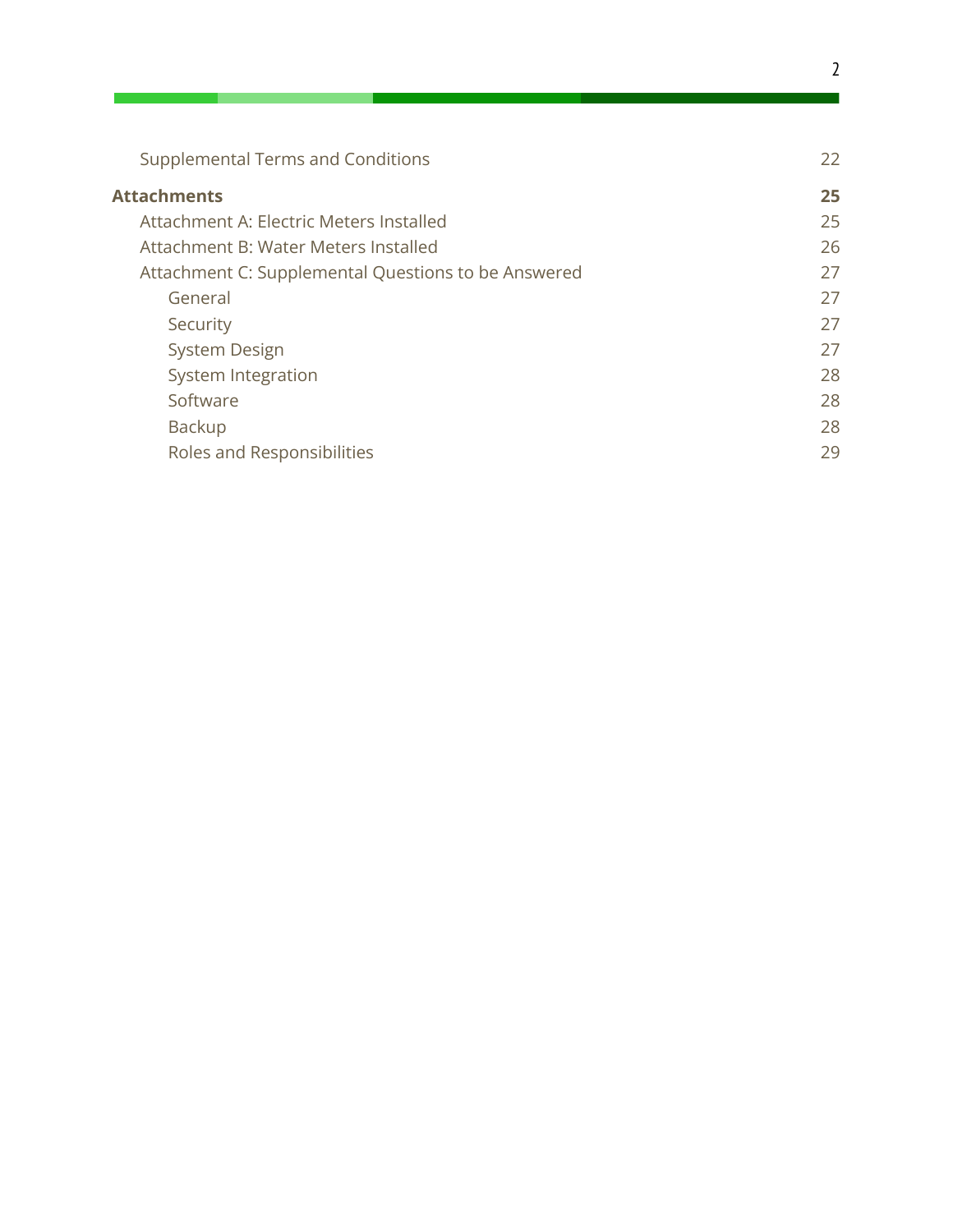| <b>Supplemental Terms and Conditions</b>            | 22 |
|-----------------------------------------------------|----|
| <b>Attachments</b>                                  | 25 |
| Attachment A: Electric Meters Installed             | 25 |
| Attachment B: Water Meters Installed                | 26 |
| Attachment C: Supplemental Questions to be Answered | 27 |
| General                                             | 27 |
| Security                                            | 27 |
| <b>System Design</b>                                | 27 |
| System Integration                                  | 28 |
| Software                                            | 28 |
| Backup                                              | 28 |
| Roles and Responsibilities                          | 29 |
|                                                     |    |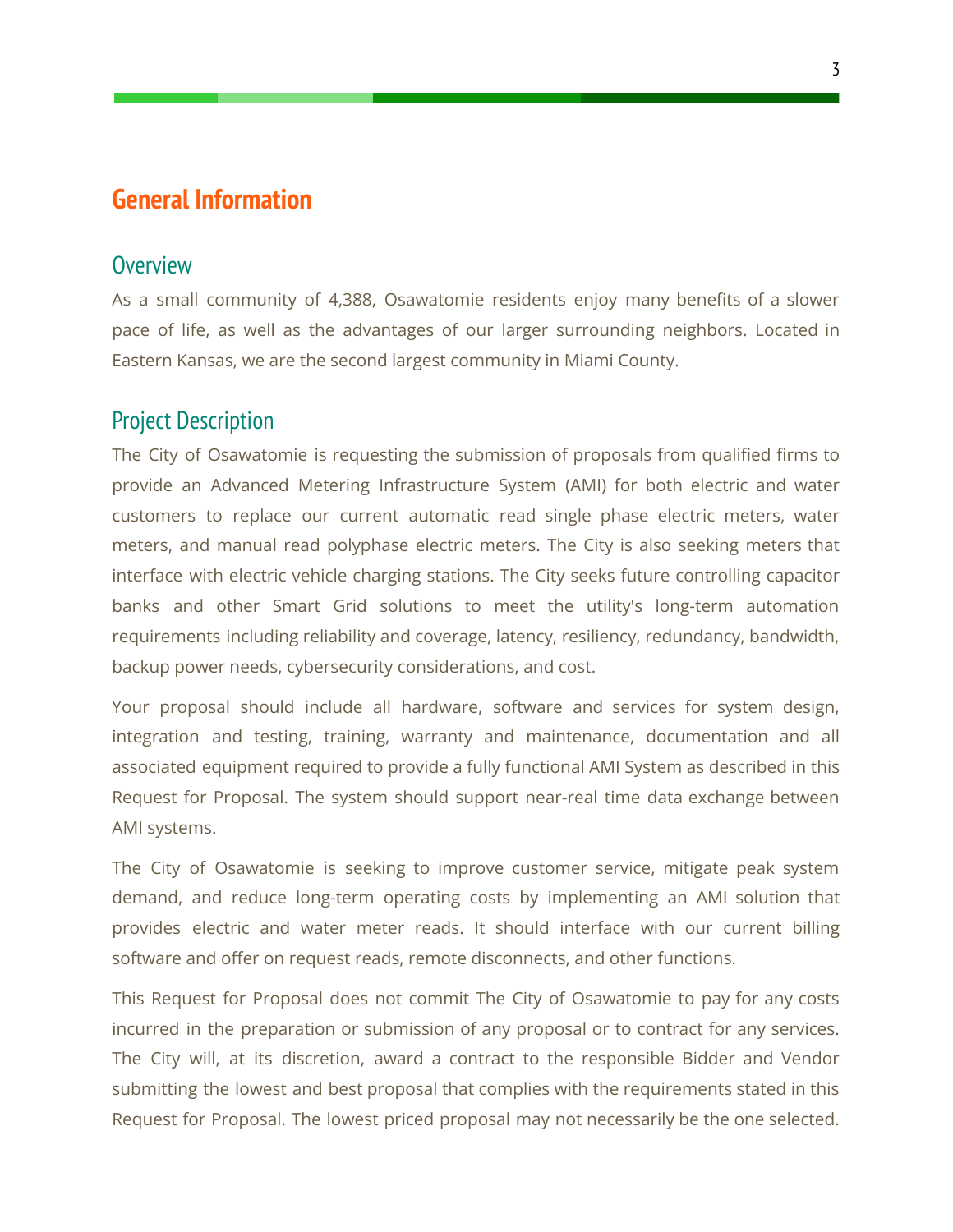## <span id="page-3-0"></span>**General Information**

#### <span id="page-3-1"></span>**Overview**

As a small community of 4,388, Osawatomie residents enjoy many benefits of a slower pace of life, as well as the advantages of our larger surrounding neighbors. Located in Eastern Kansas, we are the second largest community in Miami County.

#### <span id="page-3-2"></span>Project Description

The City of Osawatomie is requesting the submission of proposals from qualified firms to provide an Advanced Metering Infrastructure System (AMI) for both electric and water customers to replace our current automatic read single phase electric meters, water meters, and manual read polyphase electric meters. The City is also seeking meters that interface with electric vehicle charging stations. The City seeks future controlling capacitor banks and other Smart Grid solutions to meet the utility's long-term automation requirements including reliability and coverage, latency, resiliency, redundancy, bandwidth, backup power needs, cybersecurity considerations, and cost.

Your proposal should include all hardware, software and services for system design, integration and testing, training, warranty and maintenance, documentation and all associated equipment required to provide a fully functional AMI System as described in this Request for Proposal. The system should support near-real time data exchange between AMI systems.

The City of Osawatomie is seeking to improve customer service, mitigate peak system demand, and reduce long-term operating costs by implementing an AMI solution that provides electric and water meter reads. It should interface with our current billing software and offer on request reads, remote disconnects, and other functions.

This Request for Proposal does not commit The City of Osawatomie to pay for any costs incurred in the preparation or submission of any proposal or to contract for any services. The City will, at its discretion, award a contract to the responsible Bidder and Vendor submitting the lowest and best proposal that complies with the requirements stated in this Request for Proposal. The lowest priced proposal may not necessarily be the one selected.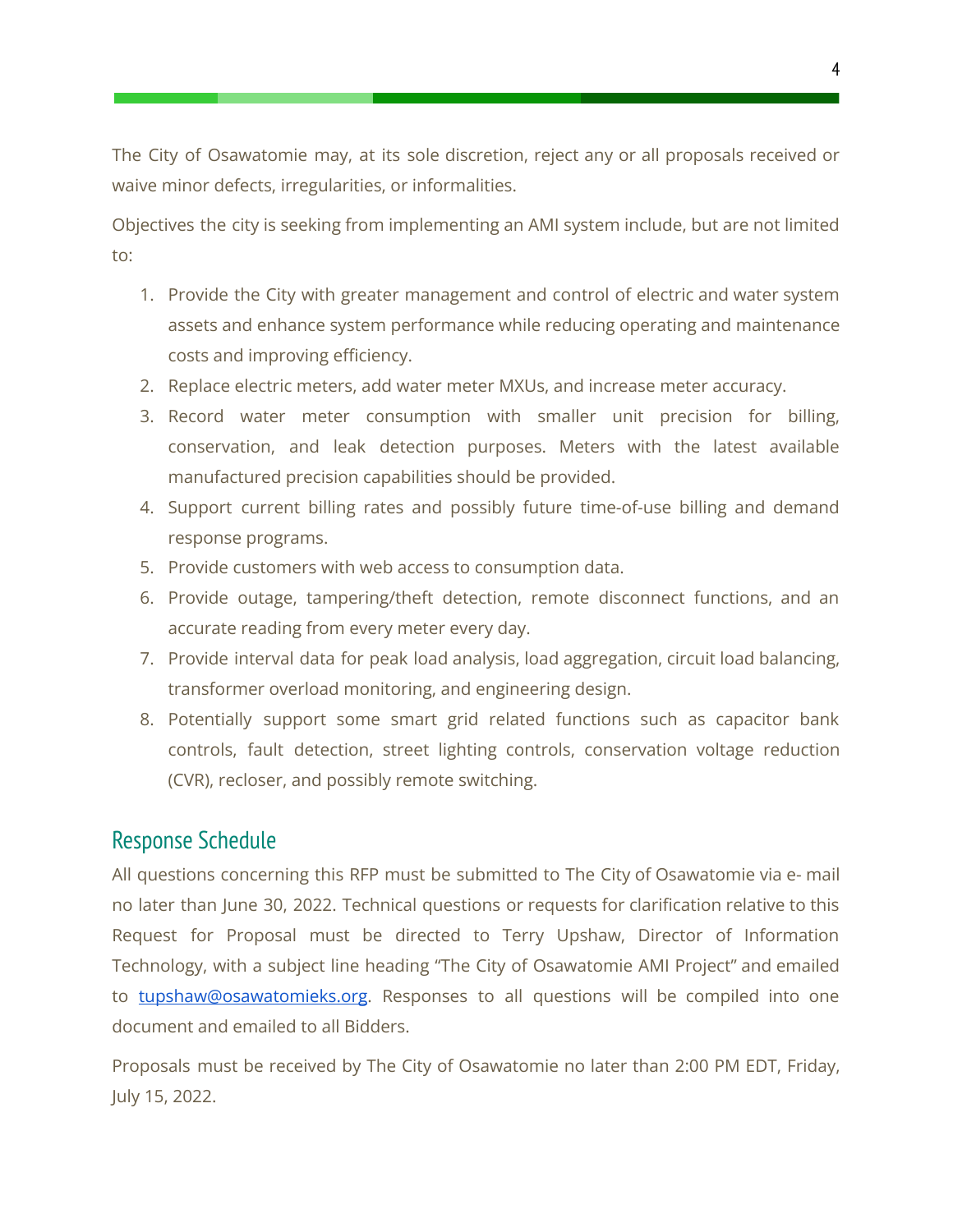The City of Osawatomie may, at its sole discretion, reject any or all proposals received or waive minor defects, irregularities, or informalities.

Objectives the city is seeking from implementing an AMI system include, but are not limited to:

- 1. Provide the City with greater management and control of electric and water system assets and enhance system performance while reducing operating and maintenance costs and improving efficiency.
- 2. Replace electric meters, add water meter MXUs, and increase meter accuracy.
- 3. Record water meter consumption with smaller unit precision for billing, conservation, and leak detection purposes. Meters with the latest available manufactured precision capabilities should be provided.
- 4. Support current billing rates and possibly future time-of-use billing and demand response programs.
- 5. Provide customers with web access to consumption data.
- 6. Provide outage, tampering/theft detection, remote disconnect functions, and an accurate reading from every meter every day.
- 7. Provide interval data for peak load analysis, load aggregation, circuit load balancing, transformer overload monitoring, and engineering design.
- 8. Potentially support some smart grid related functions such as capacitor bank controls, fault detection, street lighting controls, conservation voltage reduction (CVR), recloser, and possibly remote switching.

## <span id="page-4-0"></span>Response Schedule

All questions concerning this RFP must be submitted to The City of Osawatomie via e- mail no later than June 30, 2022. Technical questions or requests for clarification relative to this Request for Proposal must be directed to Terry Upshaw, Director of Information Technology, with a subject line heading "The City of Osawatomie AMI Project" and emailed to [tupshaw@osawatomieks.org](mailto:tupshaw@osawatomieks.org?subject=The City of Osawatomie AMI Project). Responses to all questions will be compiled into one document and emailed to all Bidders.

Proposals must be received by The City of Osawatomie no later than 2:00 PM EDT, Friday, July 15, 2022.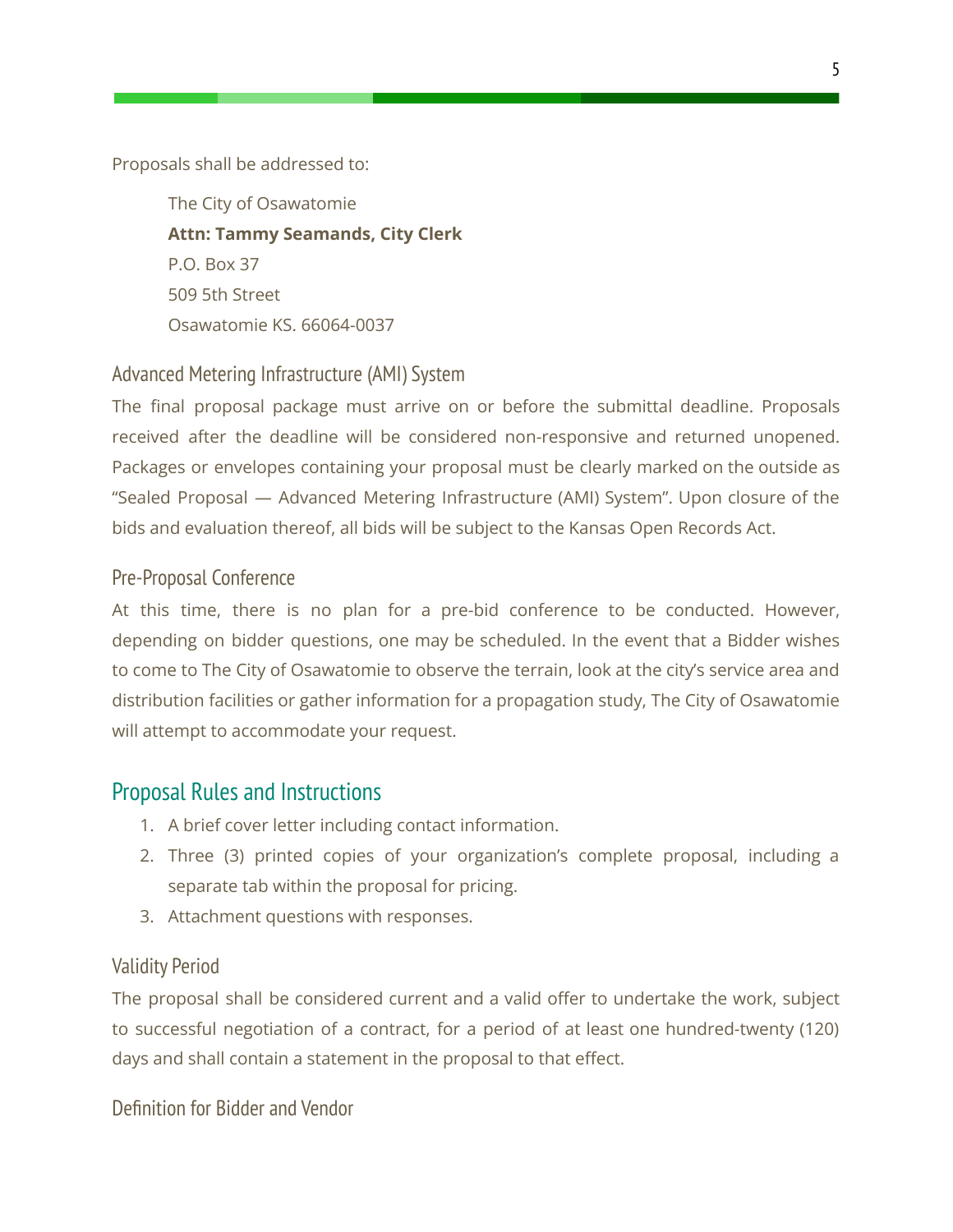Proposals shall be addressed to:

The City of Osawatomie **Attn: Tammy Seamands, City Clerk** P.O. Box 37 509 5th Street Osawatomie KS. 66064-0037

#### <span id="page-5-0"></span>Advanced Metering Infrastructure (AMI) System

The final proposal package must arrive on or before the submittal deadline. Proposals received after the deadline will be considered non-responsive and returned unopened. Packages or envelopes containing your proposal must be clearly marked on the outside as "Sealed Proposal — Advanced Metering Infrastructure (AMI) System". Upon closure of the bids and evaluation thereof, all bids will be subject to the Kansas Open Records Act.

#### <span id="page-5-1"></span>Pre-Proposal Conference

At this time, there is no plan for a pre-bid conference to be conducted. However, depending on bidder questions, one may be scheduled. In the event that a Bidder wishes to come to The City of Osawatomie to observe the terrain, look at the city's service area and distribution facilities or gather information for a propagation study, The City of Osawatomie will attempt to accommodate your request.

#### <span id="page-5-2"></span>Proposal Rules and Instructions

- 1. A brief cover letter including contact information.
- 2. Three (3) printed copies of your organization's complete proposal, including a separate tab within the proposal for pricing.
- 3. Attachment questions with responses.

#### <span id="page-5-3"></span>Validity Period

The proposal shall be considered current and a valid offer to undertake the work, subject to successful negotiation of a contract, for a period of at least one hundred-twenty (120) days and shall contain a statement in the proposal to that effect.

<span id="page-5-4"></span>Definition for Bidder and Vendor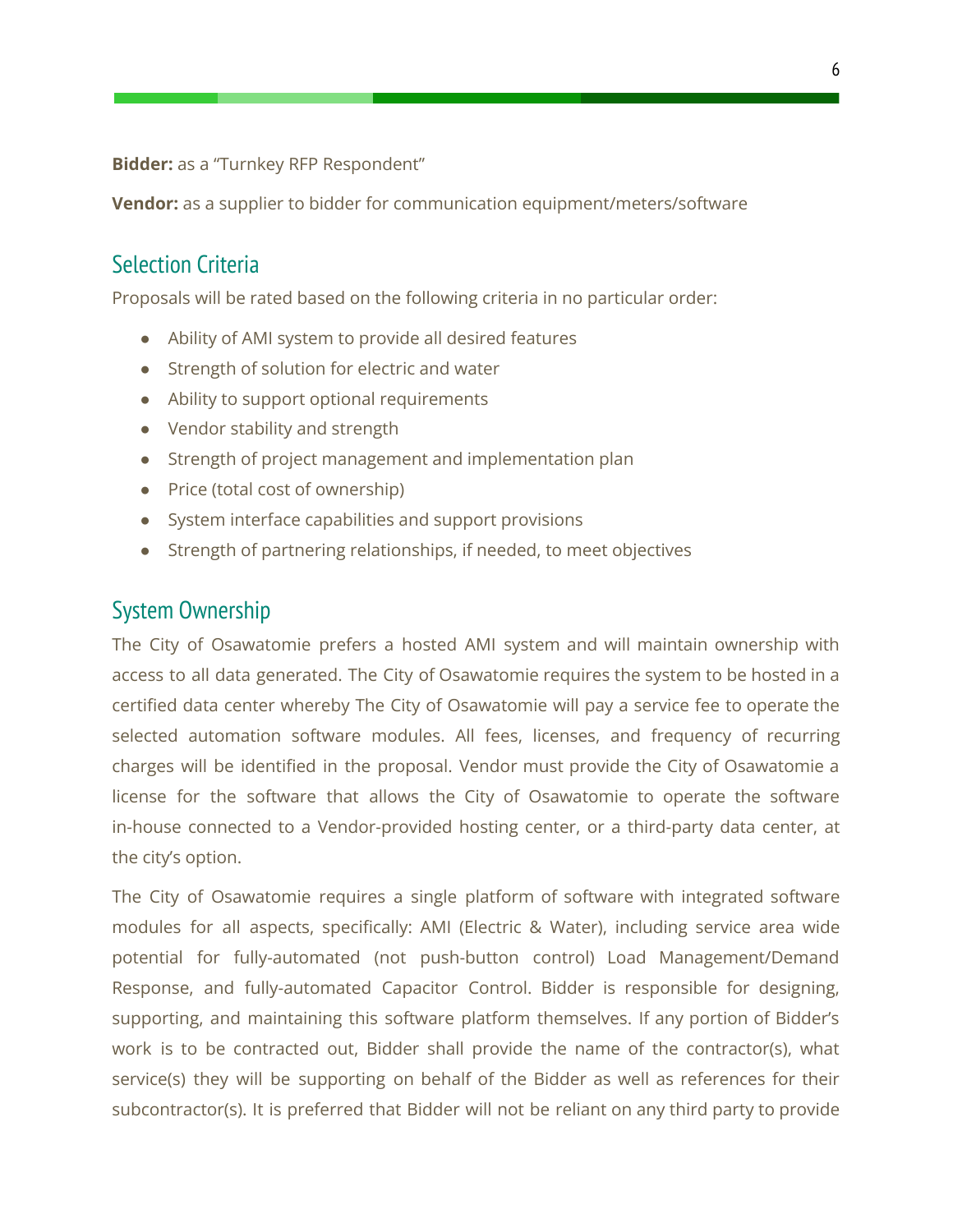**Bidder:** as a "Turnkey RFP Respondent"

<span id="page-6-0"></span>**Vendor:** as a supplier to bidder for communication equipment/meters/software

## Selection Criteria

Proposals will be rated based on the following criteria in no particular order:

- Ability of AMI system to provide all desired features
- Strength of solution for electric and water
- Ability to support optional requirements
- Vendor stability and strength
- Strength of project management and implementation plan
- Price (total cost of ownership)
- System interface capabilities and support provisions
- Strength of partnering relationships, if needed, to meet objectives

#### <span id="page-6-1"></span>System Ownership

The City of Osawatomie prefers a hosted AMI system and will maintain ownership with access to all data generated. The City of Osawatomie requires the system to be hosted in a certified data center whereby The City of Osawatomie will pay a service fee to operate the selected automation software modules. All fees, licenses, and frequency of recurring charges will be identified in the proposal. Vendor must provide the City of Osawatomie a license for the software that allows the City of Osawatomie to operate the software in-house connected to a Vendor-provided hosting center, or a third-party data center, at the city's option.

The City of Osawatomie requires a single platform of software with integrated software modules for all aspects, specifically: AMI (Electric & Water), including service area wide potential for fully-automated (not push-button control) Load Management/Demand Response, and fully-automated Capacitor Control. Bidder is responsible for designing, supporting, and maintaining this software platform themselves. If any portion of Bidder's work is to be contracted out, Bidder shall provide the name of the contractor(s), what service(s) they will be supporting on behalf of the Bidder as well as references for their subcontractor(s). It is preferred that Bidder will not be reliant on any third party to provide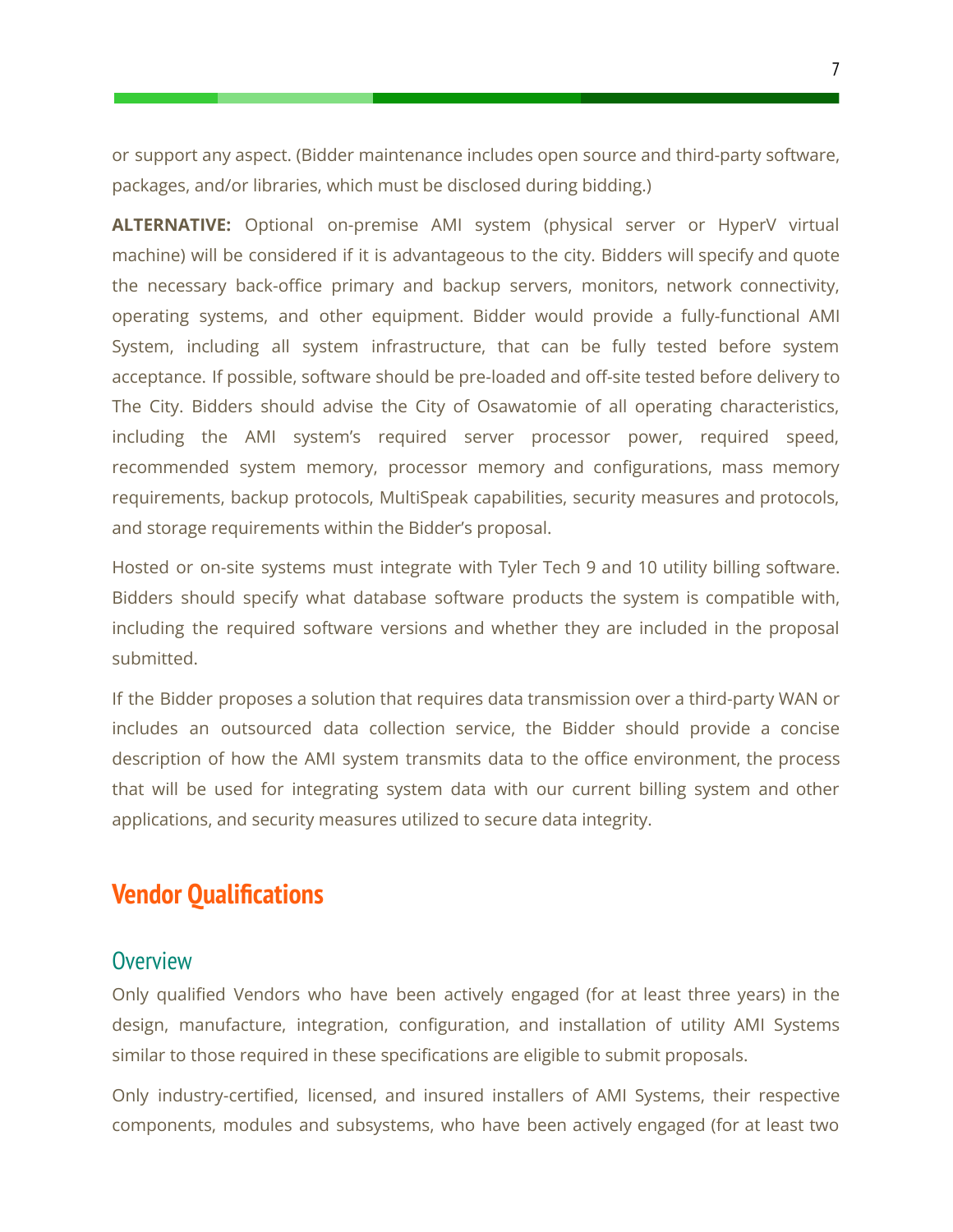or support any aspect. (Bidder maintenance includes open source and third-party software, packages, and/or libraries, which must be disclosed during bidding.)

**ALTERNATIVE:** Optional on-premise AMI system (physical server or HyperV virtual machine) will be considered if it is advantageous to the city. Bidders will specify and quote the necessary back-office primary and backup servers, monitors, network connectivity, operating systems, and other equipment. Bidder would provide a fully-functional AMI System, including all system infrastructure, that can be fully tested before system acceptance. If possible, software should be pre-loaded and off-site tested before delivery to The City. Bidders should advise the City of Osawatomie of all operating characteristics, including the AMI system's required server processor power, required speed, recommended system memory, processor memory and configurations, mass memory requirements, backup protocols, MultiSpeak capabilities, security measures and protocols, and storage requirements within the Bidder's proposal.

Hosted or on-site systems must integrate with Tyler Tech 9 and 10 utility billing software. Bidders should specify what database software products the system is compatible with, including the required software versions and whether they are included in the proposal submitted.

If the Bidder proposes a solution that requires data transmission over a third-party WAN or includes an outsourced data collection service, the Bidder should provide a concise description of how the AMI system transmits data to the office environment, the process that will be used for integrating system data with our current billing system and other applications, and security measures utilized to secure data integrity.

## <span id="page-7-0"></span>**Vendor Qualifications**

#### <span id="page-7-1"></span>**Overview**

Only qualified Vendors who have been actively engaged (for at least three years) in the design, manufacture, integration, configuration, and installation of utility AMI Systems similar to those required in these specifications are eligible to submit proposals.

Only industry-certified, licensed, and insured installers of AMI Systems, their respective components, modules and subsystems, who have been actively engaged (for at least two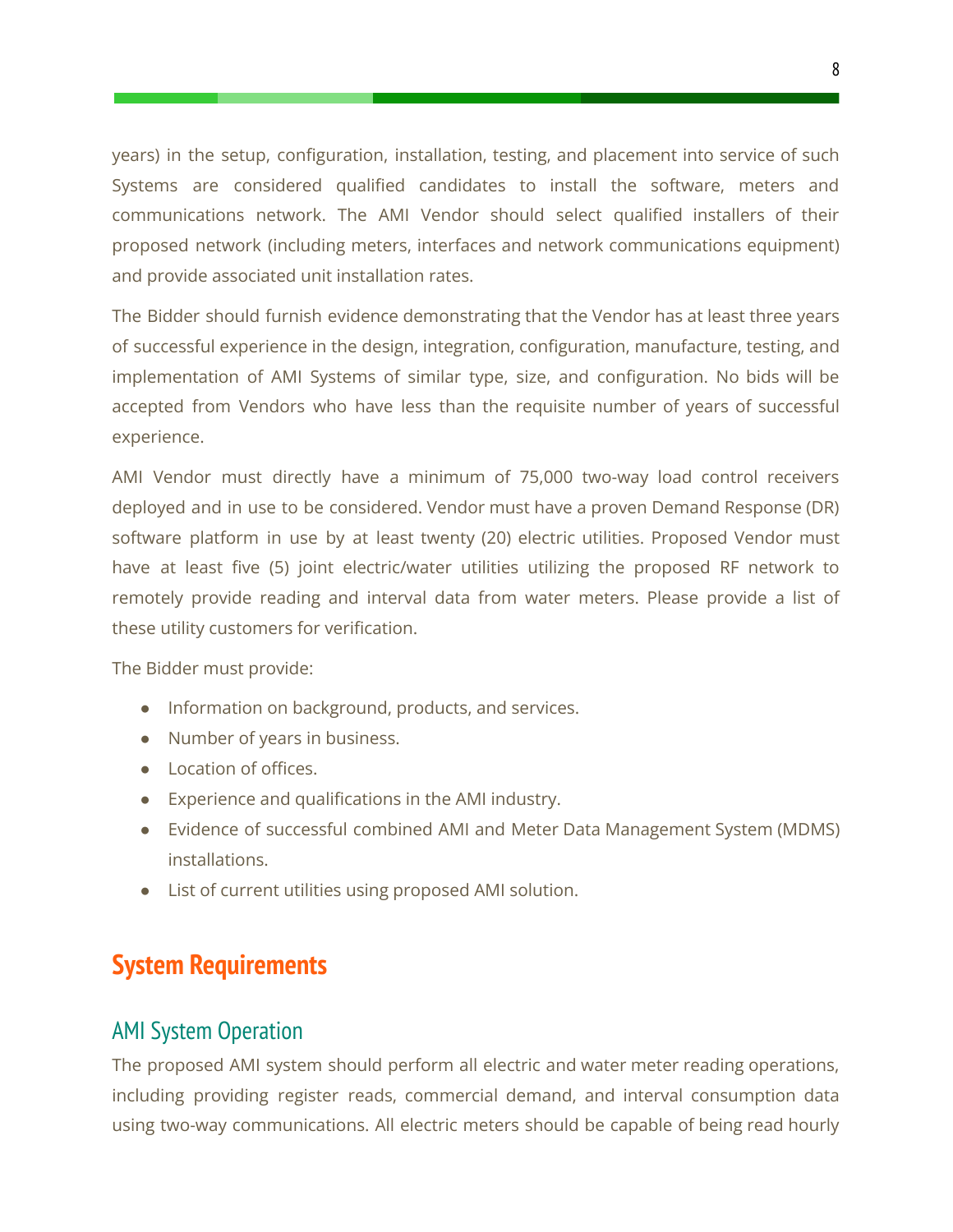years) in the setup, configuration, installation, testing, and placement into service of such Systems are considered qualified candidates to install the software, meters and communications network. The AMI Vendor should select qualified installers of their proposed network (including meters, interfaces and network communications equipment) and provide associated unit installation rates.

The Bidder should furnish evidence demonstrating that the Vendor has at least three years of successful experience in the design, integration, configuration, manufacture, testing, and implementation of AMI Systems of similar type, size, and configuration. No bids will be accepted from Vendors who have less than the requisite number of years of successful experience.

AMI Vendor must directly have a minimum of 75,000 two-way load control receivers deployed and in use to be considered. Vendor must have a proven Demand Response (DR) software platform in use by at least twenty (20) electric utilities. Proposed Vendor must have at least five (5) joint electric/water utilities utilizing the proposed RF network to remotely provide reading and interval data from water meters. Please provide a list of these utility customers for verification.

The Bidder must provide:

- Information on background, products, and services.
- Number of years in business.
- Location of offices.
- Experience and qualifications in the AMI industry.
- Evidence of successful combined AMI and Meter Data Management System (MDMS) installations.
- <span id="page-8-0"></span>● List of current utilities using proposed AMI solution.

# **System Requirements**

## <span id="page-8-1"></span>AMI System Operation

The proposed AMI system should perform all electric and water meter reading operations, including providing register reads, commercial demand, and interval consumption data using two-way communications. All electric meters should be capable of being read hourly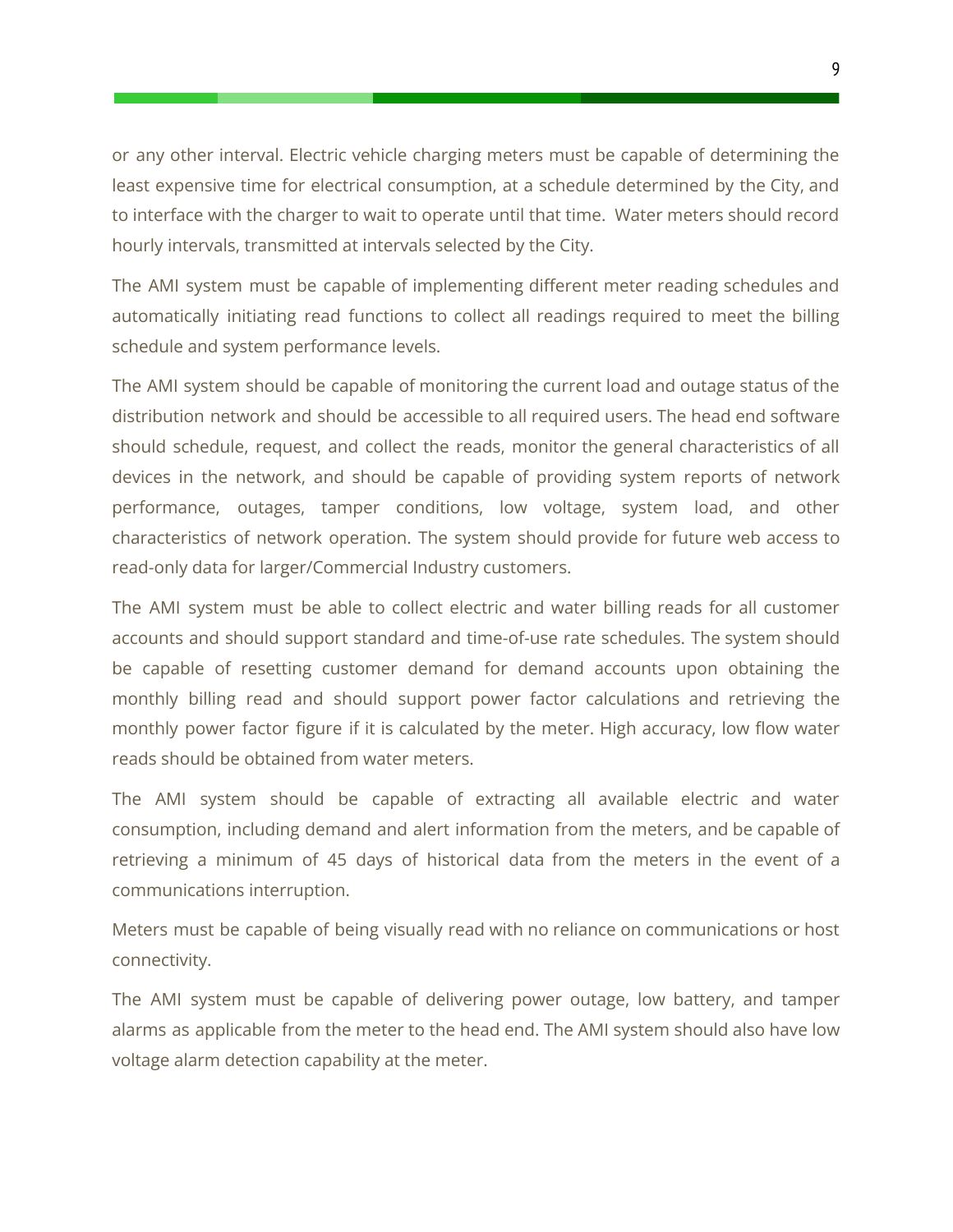or any other interval. Electric vehicle charging meters must be capable of determining the least expensive time for electrical consumption, at a schedule determined by the City, and to interface with the charger to wait to operate until that time. Water meters should record hourly intervals, transmitted at intervals selected by the City.

The AMI system must be capable of implementing different meter reading schedules and automatically initiating read functions to collect all readings required to meet the billing schedule and system performance levels.

The AMI system should be capable of monitoring the current load and outage status of the distribution network and should be accessible to all required users. The head end software should schedule, request, and collect the reads, monitor the general characteristics of all devices in the network, and should be capable of providing system reports of network performance, outages, tamper conditions, low voltage, system load, and other characteristics of network operation. The system should provide for future web access to read-only data for larger/Commercial Industry customers.

The AMI system must be able to collect electric and water billing reads for all customer accounts and should support standard and time-of-use rate schedules. The system should be capable of resetting customer demand for demand accounts upon obtaining the monthly billing read and should support power factor calculations and retrieving the monthly power factor figure if it is calculated by the meter. High accuracy, low flow water reads should be obtained from water meters.

The AMI system should be capable of extracting all available electric and water consumption, including demand and alert information from the meters, and be capable of retrieving a minimum of 45 days of historical data from the meters in the event of a communications interruption.

Meters must be capable of being visually read with no reliance on communications or host connectivity.

The AMI system must be capable of delivering power outage, low battery, and tamper alarms as applicable from the meter to the head end. The AMI system should also have low voltage alarm detection capability at the meter.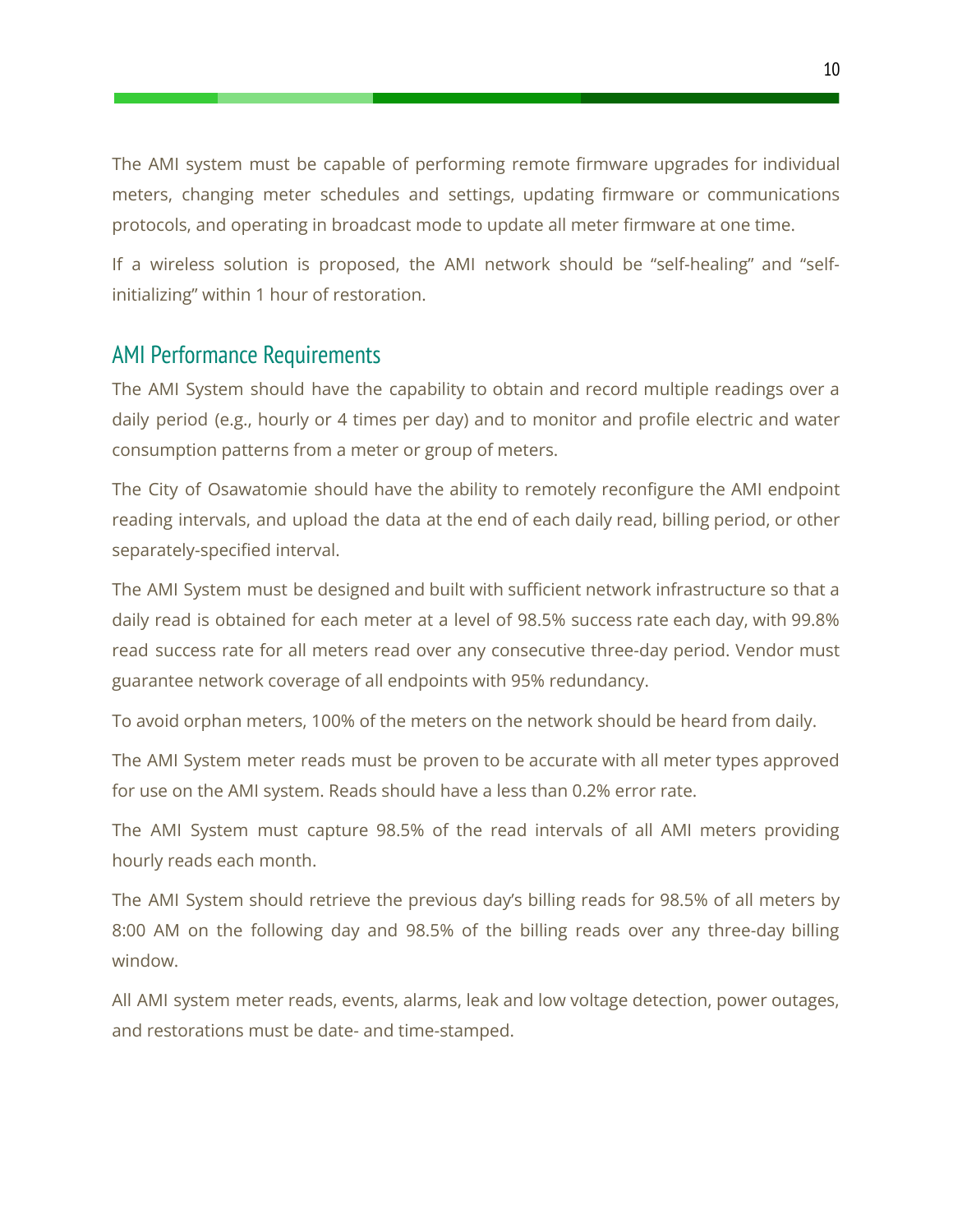The AMI system must be capable of performing remote firmware upgrades for individual meters, changing meter schedules and settings, updating firmware or communications protocols, and operating in broadcast mode to update all meter firmware at one time.

If a wireless solution is proposed, the AMI network should be "self-healing" and "selfinitializing" within 1 hour of restoration.

#### <span id="page-10-0"></span>AMI Performance Requirements

The AMI System should have the capability to obtain and record multiple readings over a daily period (e.g., hourly or 4 times per day) and to monitor and profile electric and water consumption patterns from a meter or group of meters.

The City of Osawatomie should have the ability to remotely reconfigure the AMI endpoint reading intervals, and upload the data at the end of each daily read, billing period, or other separately-specified interval.

The AMI System must be designed and built with sufficient network infrastructure so that a daily read is obtained for each meter at a level of 98.5% success rate each day, with 99.8% read success rate for all meters read over any consecutive three-day period. Vendor must guarantee network coverage of all endpoints with 95% redundancy.

To avoid orphan meters, 100% of the meters on the network should be heard from daily.

The AMI System meter reads must be proven to be accurate with all meter types approved for use on the AMI system. Reads should have a less than 0.2% error rate.

The AMI System must capture 98.5% of the read intervals of all AMI meters providing hourly reads each month.

The AMI System should retrieve the previous day's billing reads for 98.5% of all meters by 8:00 AM on the following day and 98.5% of the billing reads over any three-day billing window.

All AMI system meter reads, events, alarms, leak and low voltage detection, power outages, and restorations must be date- and time-stamped.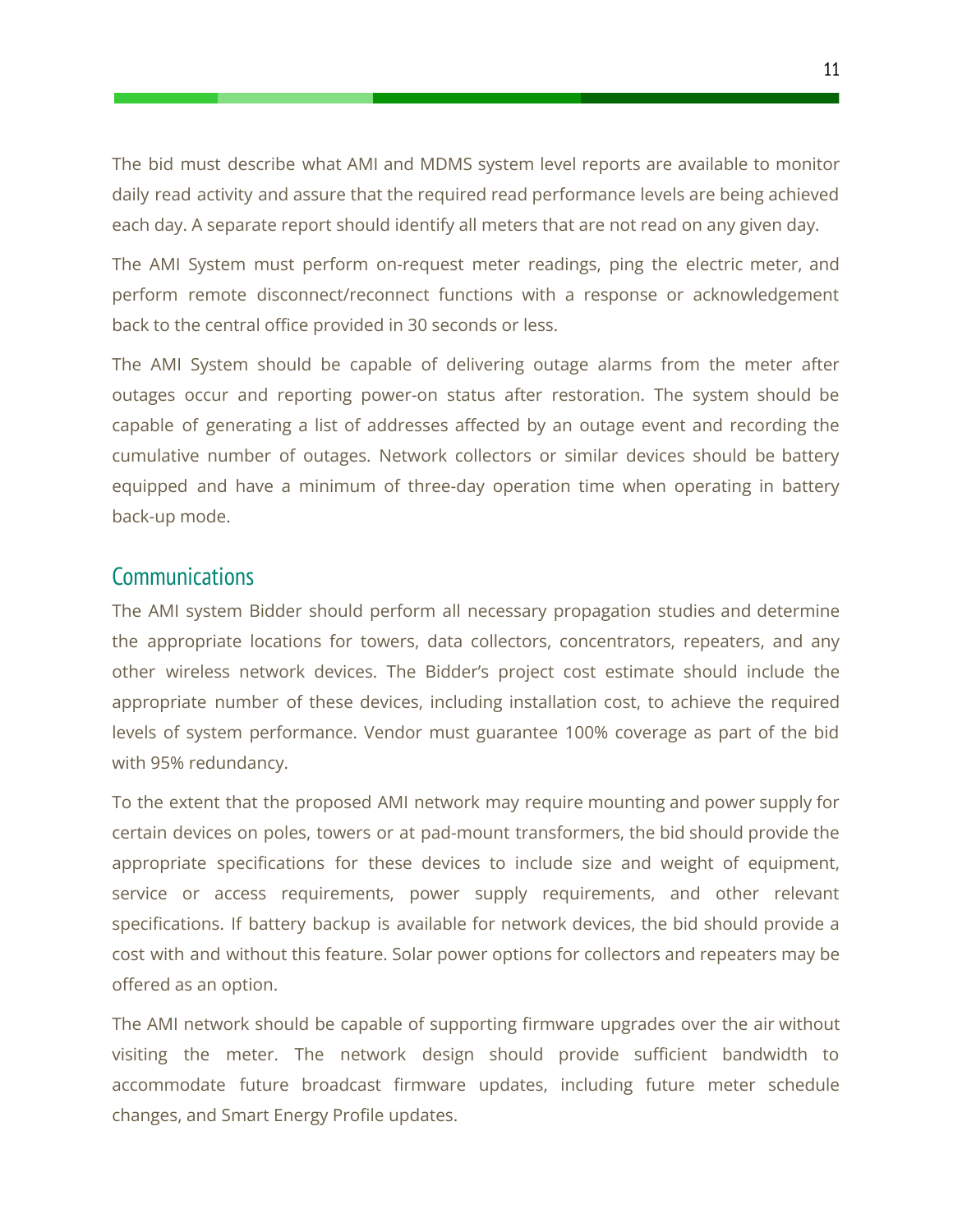The bid must describe what AMI and MDMS system level reports are available to monitor daily read activity and assure that the required read performance levels are being achieved each day. A separate report should identify all meters that are not read on any given day.

The AMI System must perform on-request meter readings, ping the electric meter, and perform remote disconnect/reconnect functions with a response or acknowledgement back to the central office provided in 30 seconds or less.

The AMI System should be capable of delivering outage alarms from the meter after outages occur and reporting power-on status after restoration. The system should be capable of generating a list of addresses affected by an outage event and recording the cumulative number of outages. Network collectors or similar devices should be battery equipped and have a minimum of three-day operation time when operating in battery back-up mode.

#### <span id="page-11-0"></span>**Communications**

The AMI system Bidder should perform all necessary propagation studies and determine the appropriate locations for towers, data collectors, concentrators, repeaters, and any other wireless network devices. The Bidder's project cost estimate should include the appropriate number of these devices, including installation cost, to achieve the required levels of system performance. Vendor must guarantee 100% coverage as part of the bid with 95% redundancy.

To the extent that the proposed AMI network may require mounting and power supply for certain devices on poles, towers or at pad-mount transformers, the bid should provide the appropriate specifications for these devices to include size and weight of equipment, service or access requirements, power supply requirements, and other relevant specifications. If battery backup is available for network devices, the bid should provide a cost with and without this feature. Solar power options for collectors and repeaters may be offered as an option.

The AMI network should be capable of supporting firmware upgrades over the air without visiting the meter. The network design should provide sufficient bandwidth to accommodate future broadcast firmware updates, including future meter schedule changes, and Smart Energy Profile updates.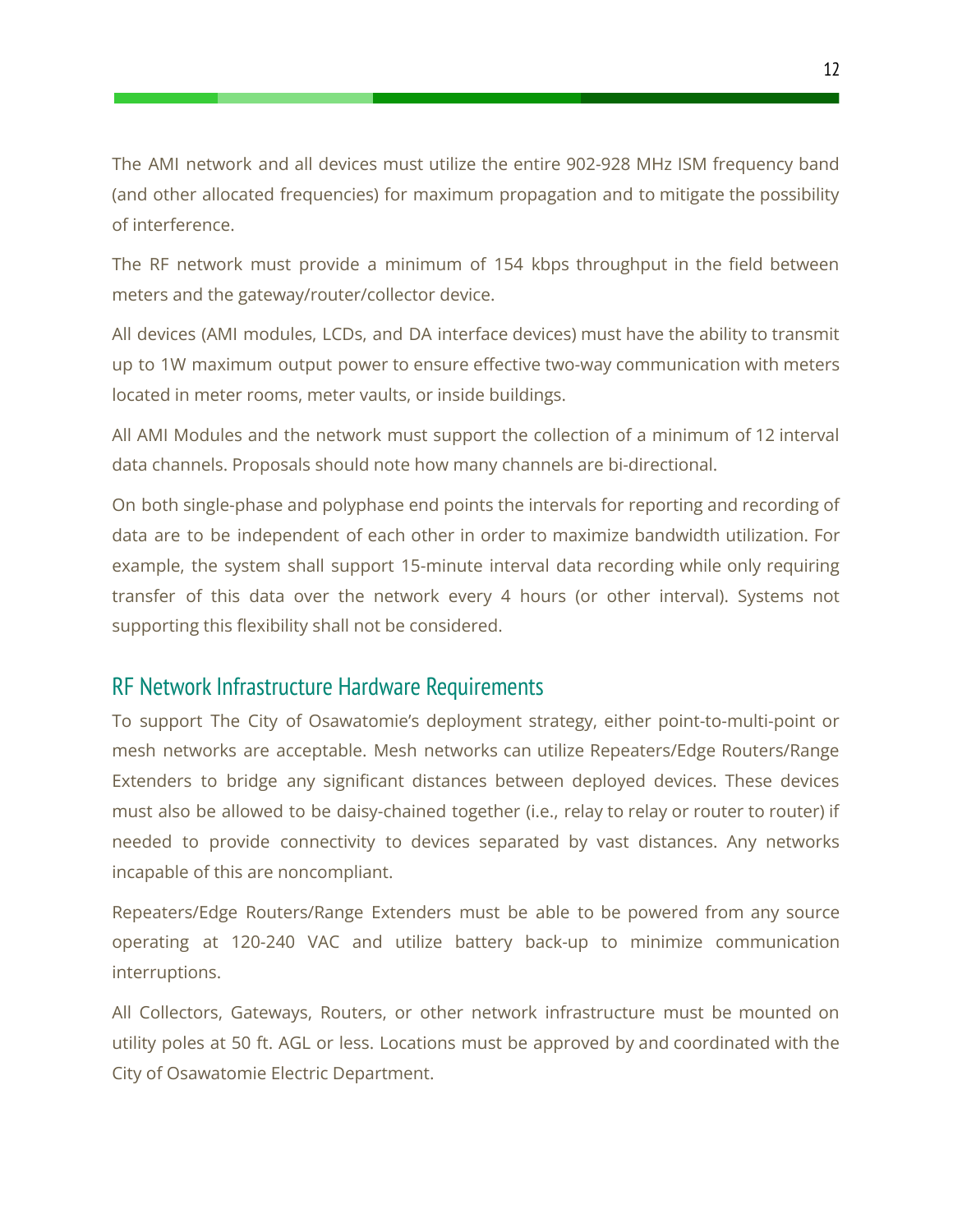The AMI network and all devices must utilize the entire 902-928 MHz ISM frequency band (and other allocated frequencies) for maximum propagation and to mitigate the possibility of interference.

The RF network must provide a minimum of 154 kbps throughput in the field between meters and the gateway/router/collector device.

All devices (AMI modules, LCDs, and DA interface devices) must have the ability to transmit up to 1W maximum output power to ensure effective two-way communication with meters located in meter rooms, meter vaults, or inside buildings.

All AMI Modules and the network must support the collection of a minimum of 12 interval data channels. Proposals should note how many channels are bi-directional.

On both single-phase and polyphase end points the intervals for reporting and recording of data are to be independent of each other in order to maximize bandwidth utilization. For example, the system shall support 15-minute interval data recording while only requiring transfer of this data over the network every 4 hours (or other interval). Systems not supporting this flexibility shall not be considered.

#### <span id="page-12-0"></span>RF Network Infrastructure Hardware Requirements

To support The City of Osawatomie's deployment strategy, either point-to-multi-point or mesh networks are acceptable. Mesh networks can utilize Repeaters/Edge Routers/Range Extenders to bridge any significant distances between deployed devices. These devices must also be allowed to be daisy-chained together (i.e., relay to relay or router to router) if needed to provide connectivity to devices separated by vast distances. Any networks incapable of this are noncompliant.

Repeaters/Edge Routers/Range Extenders must be able to be powered from any source operating at 120-240 VAC and utilize battery back-up to minimize communication interruptions.

All Collectors, Gateways, Routers, or other network infrastructure must be mounted on utility poles at 50 ft. AGL or less. Locations must be approved by and coordinated with the City of Osawatomie Electric Department.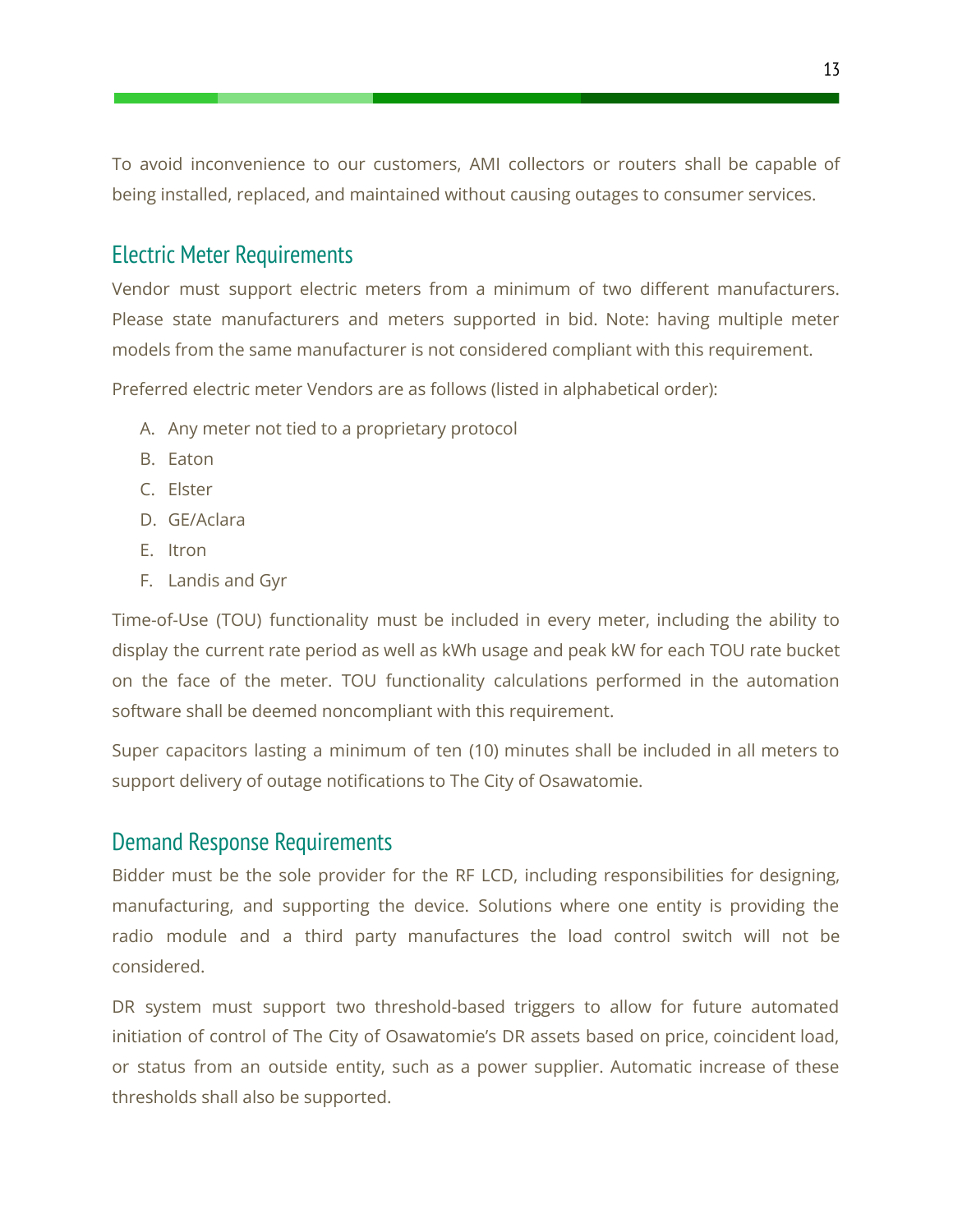To avoid inconvenience to our customers, AMI collectors or routers shall be capable of being installed, replaced, and maintained without causing outages to consumer services.

## <span id="page-13-0"></span>Electric Meter Requirements

Vendor must support electric meters from a minimum of two different manufacturers. Please state manufacturers and meters supported in bid. Note: having multiple meter models from the same manufacturer is not considered compliant with this requirement.

Preferred electric meter Vendors are as follows (listed in alphabetical order):

- A. Any meter not tied to a proprietary protocol
- B. Eaton
- C. Elster
- D. GE/Aclara
- E. Itron
- F. Landis and Gyr

Time-of-Use (TOU) functionality must be included in every meter, including the ability to display the current rate period as well as kWh usage and peak kW for each TOU rate bucket on the face of the meter. TOU functionality calculations performed in the automation software shall be deemed noncompliant with this requirement.

Super capacitors lasting a minimum of ten (10) minutes shall be included in all meters to support delivery of outage notifications to The City of Osawatomie.

#### <span id="page-13-1"></span>Demand Response Requirements

Bidder must be the sole provider for the RF LCD, including responsibilities for designing, manufacturing, and supporting the device. Solutions where one entity is providing the radio module and a third party manufactures the load control switch will not be considered.

DR system must support two threshold-based triggers to allow for future automated initiation of control of The City of Osawatomie's DR assets based on price, coincident load, or status from an outside entity, such as a power supplier. Automatic increase of these thresholds shall also be supported.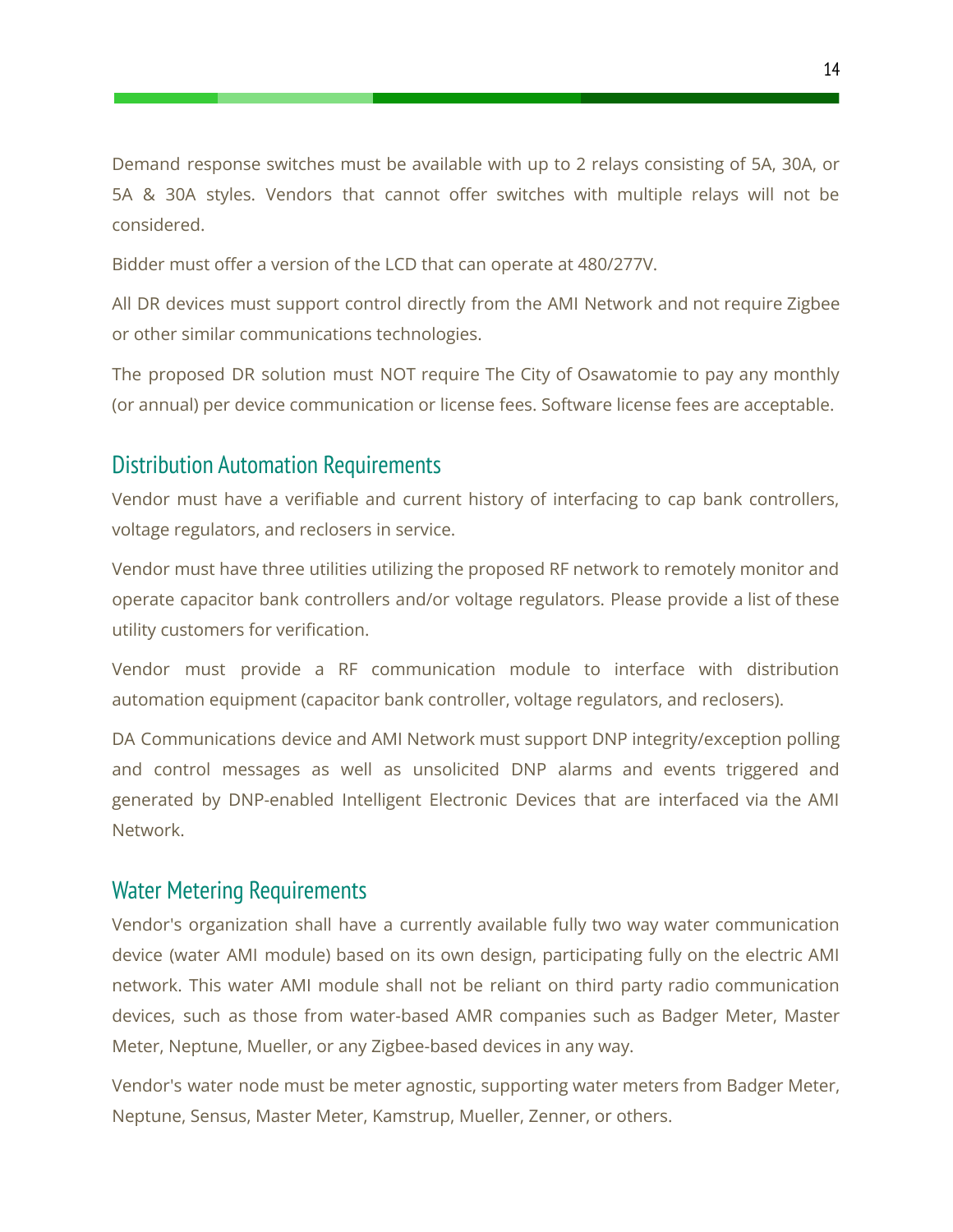Demand response switches must be available with up to 2 relays consisting of 5A, 30A, or 5A & 30A styles. Vendors that cannot offer switches with multiple relays will not be considered.

Bidder must offer a version of the LCD that can operate at 480/277V.

All DR devices must support control directly from the AMI Network and not require Zigbee or other similar communications technologies.

The proposed DR solution must NOT require The City of Osawatomie to pay any monthly (or annual) per device communication or license fees. Software license fees are acceptable.

#### <span id="page-14-0"></span>Distribution Automation Requirements

Vendor must have a verifiable and current history of interfacing to cap bank controllers, voltage regulators, and reclosers in service.

Vendor must have three utilities utilizing the proposed RF network to remotely monitor and operate capacitor bank controllers and/or voltage regulators. Please provide a list of these utility customers for verification.

Vendor must provide a RF communication module to interface with distribution automation equipment (capacitor bank controller, voltage regulators, and reclosers).

DA Communications device and AMI Network must support DNP integrity/exception polling and control messages as well as unsolicited DNP alarms and events triggered and generated by DNP-enabled Intelligent Electronic Devices that are interfaced via the AMI Network.

#### <span id="page-14-1"></span>Water Metering Requirements

Vendor's organization shall have a currently available fully two way water communication device (water AMI module) based on its own design, participating fully on the electric AMI network. This water AMI module shall not be reliant on third party radio communication devices, such as those from water-based AMR companies such as Badger Meter, Master Meter, Neptune, Mueller, or any Zigbee-based devices in any way.

Vendor's water node must be meter agnostic, supporting water meters from Badger Meter, Neptune, Sensus, Master Meter, Kamstrup, Mueller, Zenner, or others.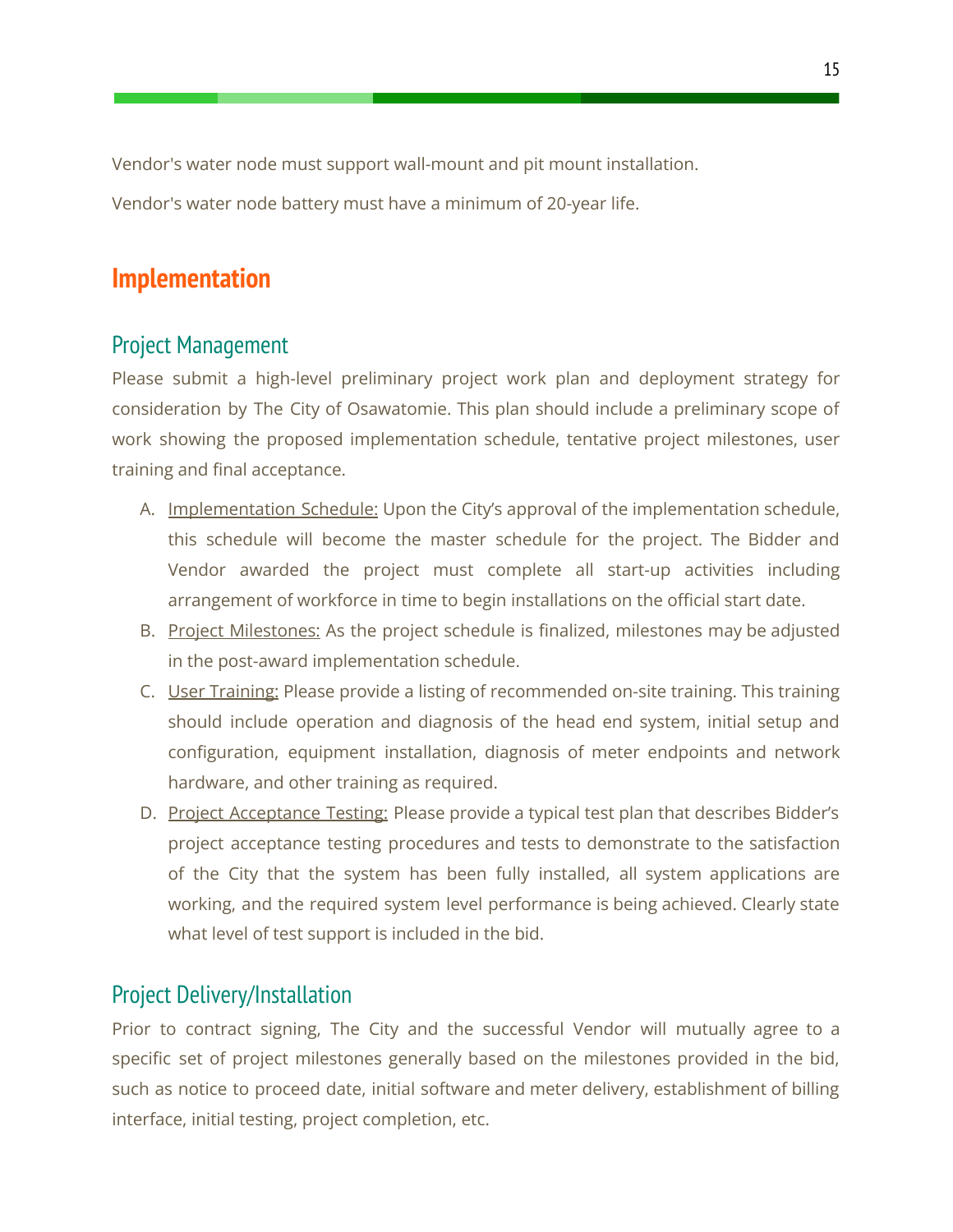Vendor's water node must support wall-mount and pit mount installation.

<span id="page-15-0"></span>Vendor's water node battery must have a minimum of 20-year life.

# **Implementation**

## <span id="page-15-1"></span>Project Management

Please submit a high-level preliminary project work plan and deployment strategy for consideration by The City of Osawatomie. This plan should include a preliminary scope of work showing the proposed implementation schedule, tentative project milestones, user training and final acceptance.

- A. Implementation Schedule: Upon the City's approval of the implementation schedule, this schedule will become the master schedule for the project. The Bidder and Vendor awarded the project must complete all start-up activities including arrangement of workforce in time to begin installations on the official start date.
- B. Project Milestones: As the project schedule is finalized, milestones may be adjusted in the post-award implementation schedule.
- C. User Training: Please provide a listing of recommended on-site training. This training should include operation and diagnosis of the head end system, initial setup and configuration, equipment installation, diagnosis of meter endpoints and network hardware, and other training as required.
- D. Project Acceptance Testing: Please provide a typical test plan that describes Bidder's project acceptance testing procedures and tests to demonstrate to the satisfaction of the City that the system has been fully installed, all system applications are working, and the required system level performance is being achieved. Clearly state what level of test support is included in the bid.

## <span id="page-15-2"></span>Project Delivery/Installation

Prior to contract signing, The City and the successful Vendor will mutually agree to a specific set of project milestones generally based on the milestones provided in the bid, such as notice to proceed date, initial software and meter delivery, establishment of billing interface, initial testing, project completion, etc.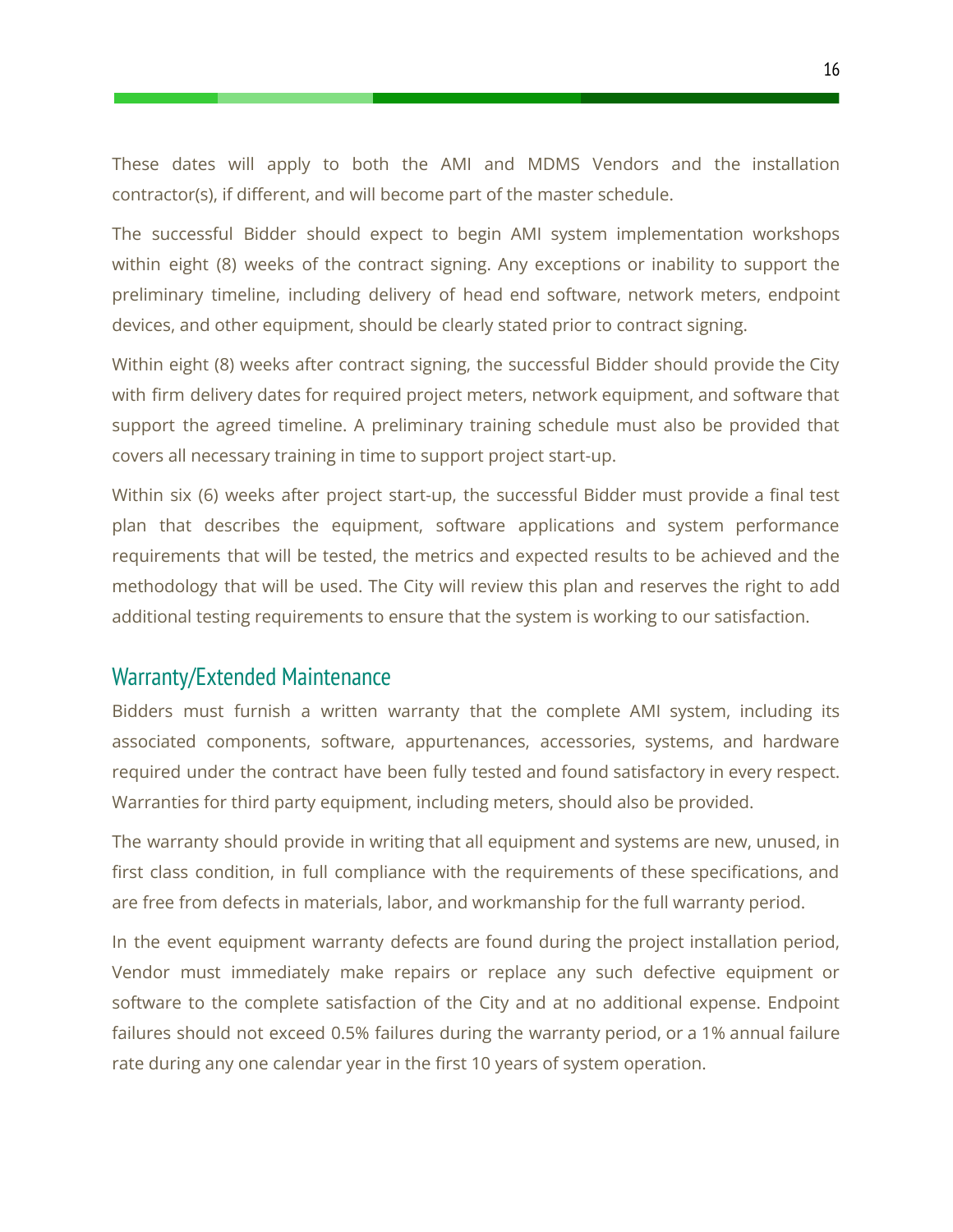These dates will apply to both the AMI and MDMS Vendors and the installation contractor(s), if different, and will become part of the master schedule.

The successful Bidder should expect to begin AMI system implementation workshops within eight (8) weeks of the contract signing. Any exceptions or inability to support the preliminary timeline, including delivery of head end software, network meters, endpoint devices, and other equipment, should be clearly stated prior to contract signing.

Within eight (8) weeks after contract signing, the successful Bidder should provide the City with firm delivery dates for required project meters, network equipment, and software that support the agreed timeline. A preliminary training schedule must also be provided that covers all necessary training in time to support project start-up.

Within six (6) weeks after project start-up, the successful Bidder must provide a final test plan that describes the equipment, software applications and system performance requirements that will be tested, the metrics and expected results to be achieved and the methodology that will be used. The City will review this plan and reserves the right to add additional testing requirements to ensure that the system is working to our satisfaction.

#### <span id="page-16-0"></span>Warranty/Extended Maintenance

Bidders must furnish a written warranty that the complete AMI system, including its associated components, software, appurtenances, accessories, systems, and hardware required under the contract have been fully tested and found satisfactory in every respect. Warranties for third party equipment, including meters, should also be provided.

The warranty should provide in writing that all equipment and systems are new, unused, in first class condition, in full compliance with the requirements of these specifications, and are free from defects in materials, labor, and workmanship for the full warranty period.

In the event equipment warranty defects are found during the project installation period, Vendor must immediately make repairs or replace any such defective equipment or software to the complete satisfaction of the City and at no additional expense. Endpoint failures should not exceed 0.5% failures during the warranty period, or a 1% annual failure rate during any one calendar year in the first 10 years of system operation.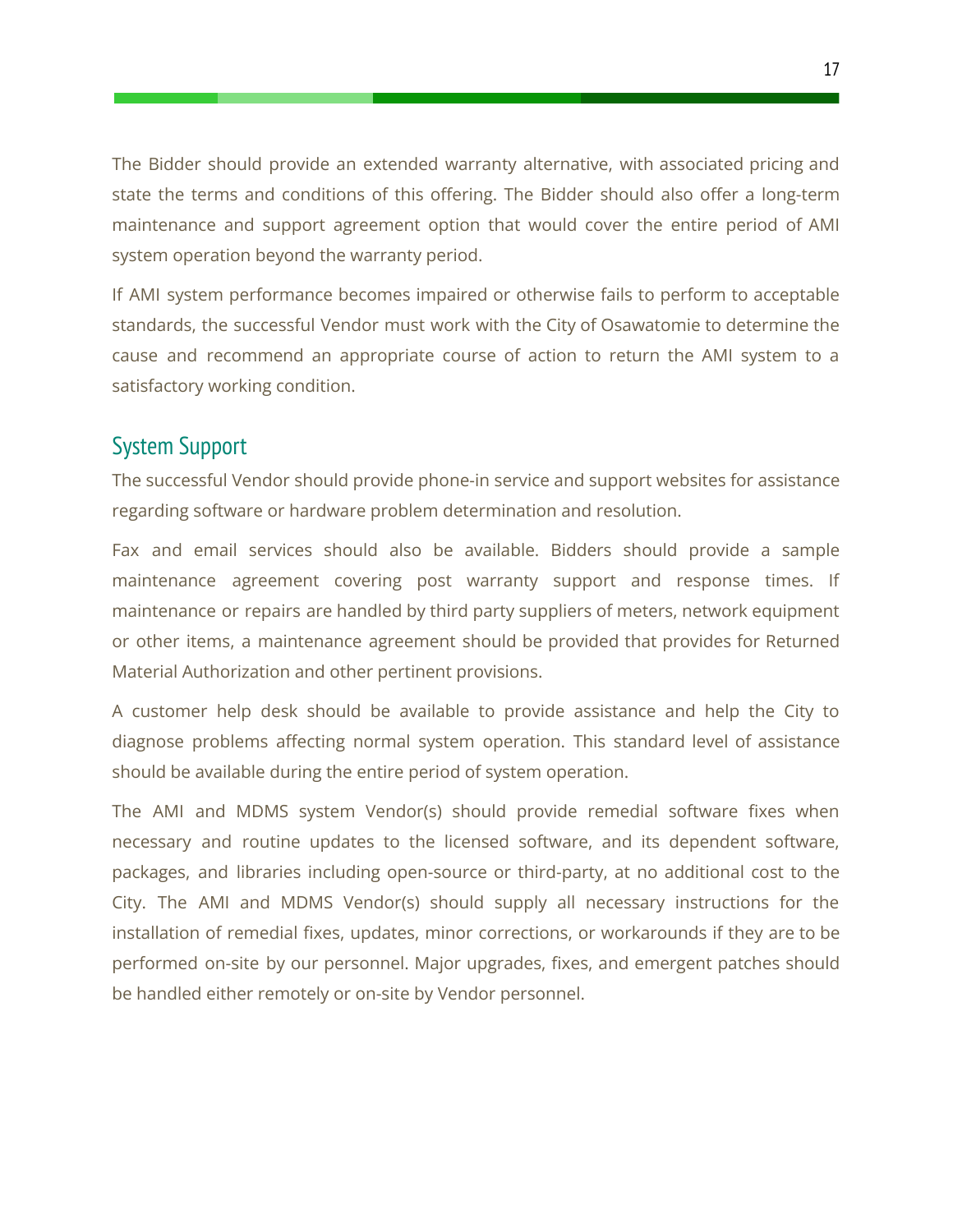The Bidder should provide an extended warranty alternative, with associated pricing and state the terms and conditions of this offering. The Bidder should also offer a long-term maintenance and support agreement option that would cover the entire period of AMI system operation beyond the warranty period.

If AMI system performance becomes impaired or otherwise fails to perform to acceptable standards, the successful Vendor must work with the City of Osawatomie to determine the cause and recommend an appropriate course of action to return the AMI system to a satisfactory working condition.

### <span id="page-17-0"></span>System Support

The successful Vendor should provide phone-in service and support websites for assistance regarding software or hardware problem determination and resolution.

Fax and email services should also be available. Bidders should provide a sample maintenance agreement covering post warranty support and response times. If maintenance or repairs are handled by third party suppliers of meters, network equipment or other items, a maintenance agreement should be provided that provides for Returned Material Authorization and other pertinent provisions.

A customer help desk should be available to provide assistance and help the City to diagnose problems affecting normal system operation. This standard level of assistance should be available during the entire period of system operation.

The AMI and MDMS system Vendor(s) should provide remedial software fixes when necessary and routine updates to the licensed software, and its dependent software, packages, and libraries including open-source or third-party, at no additional cost to the City. The AMI and MDMS Vendor(s) should supply all necessary instructions for the installation of remedial fixes, updates, minor corrections, or workarounds if they are to be performed on-site by our personnel. Major upgrades, fixes, and emergent patches should be handled either remotely or on-site by Vendor personnel.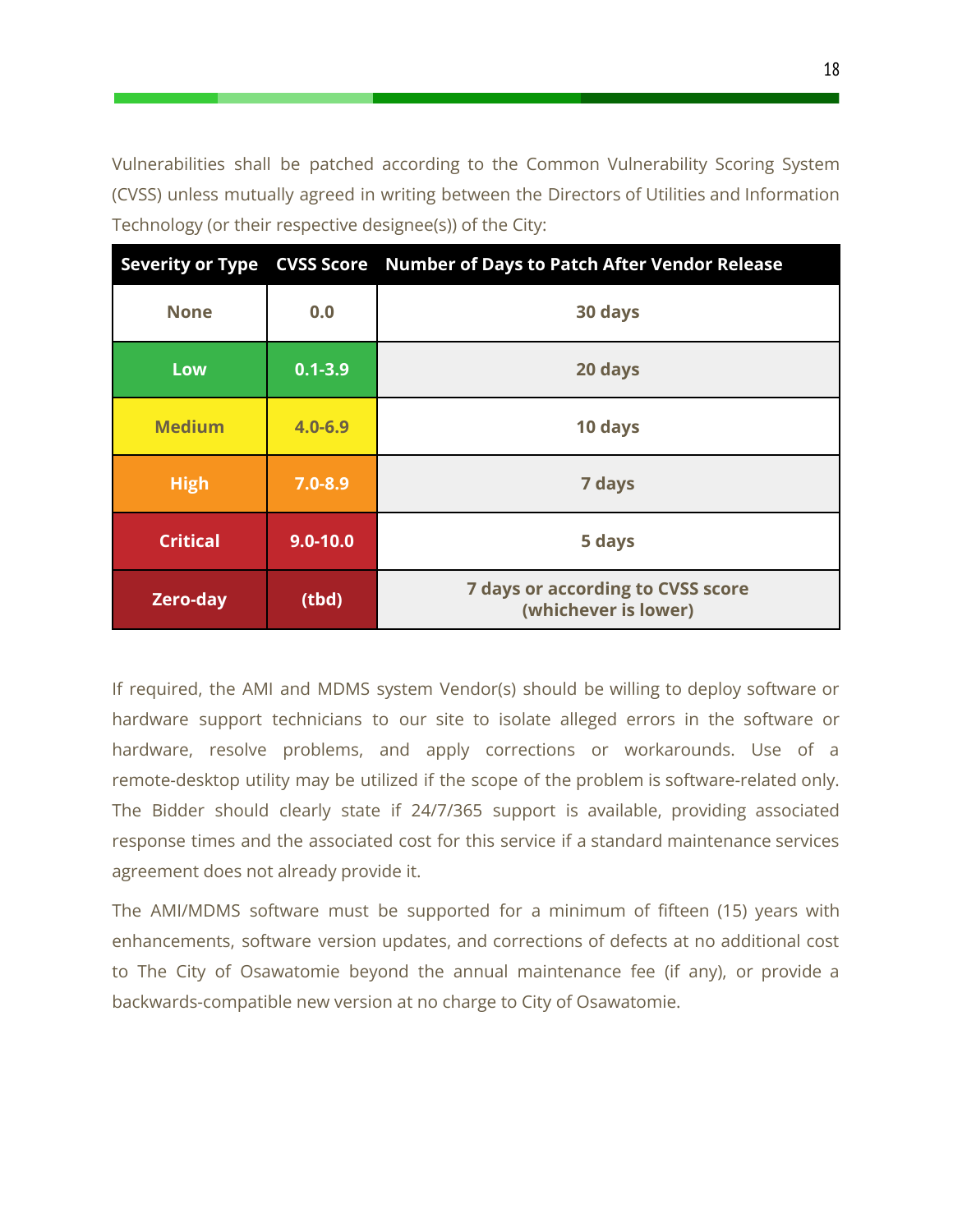Vulnerabilities shall be patched according to the Common Vulnerability Scoring System (CVSS) unless mutually agreed in writing between the Directors of Utilities and Information Technology (or their respective designee(s)) of the City:

|                 |              | Severity or Type CVSS Score Number of Days to Patch After Vendor Release |  |
|-----------------|--------------|--------------------------------------------------------------------------|--|
| <b>None</b>     | 0.0          | 30 days                                                                  |  |
| Low             | $0.1 - 3.9$  | 20 days                                                                  |  |
| <b>Medium</b>   | $4.0 - 6.9$  | 10 days                                                                  |  |
| <b>High</b>     | $7.0 - 8.9$  | 7 days                                                                   |  |
| <b>Critical</b> | $9.0 - 10.0$ | 5 days                                                                   |  |
| <b>Zero-day</b> | (tbd)        | <b>7 days or according to CVSS score</b><br>(whichever is lower)         |  |

If required, the AMI and MDMS system Vendor(s) should be willing to deploy software or hardware support technicians to our site to isolate alleged errors in the software or hardware, resolve problems, and apply corrections or workarounds. Use of a remote-desktop utility may be utilized if the scope of the problem is software-related only. The Bidder should clearly state if 24/7/365 support is available, providing associated response times and the associated cost for this service if a standard maintenance services agreement does not already provide it.

The AMI/MDMS software must be supported for a minimum of fifteen (15) years with enhancements, software version updates, and corrections of defects at no additional cost to The City of Osawatomie beyond the annual maintenance fee (if any), or provide a backwards-compatible new version at no charge to City of Osawatomie.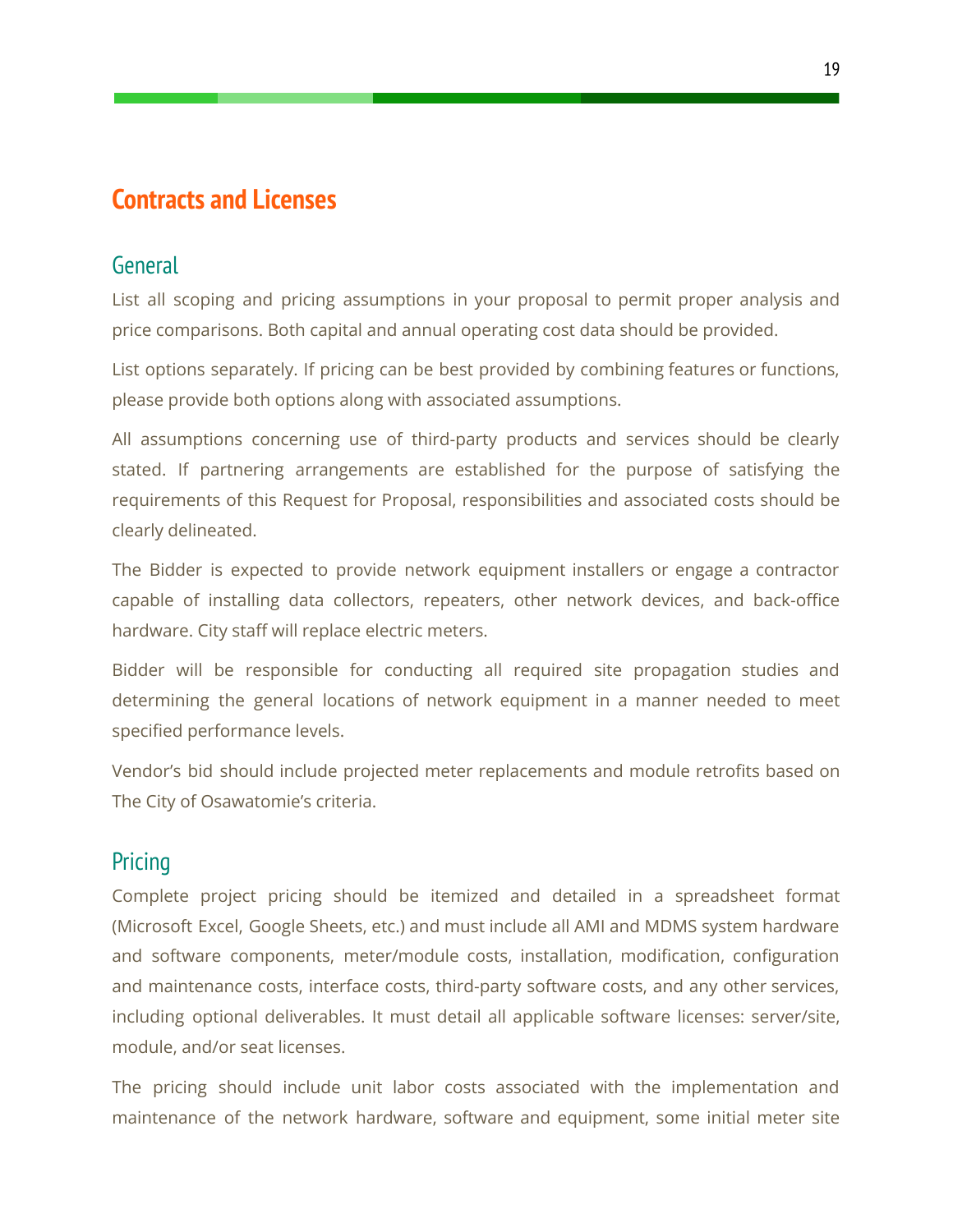# <span id="page-19-0"></span>**Contracts and Licenses**

#### <span id="page-19-1"></span>General

List all scoping and pricing assumptions in your proposal to permit proper analysis and price comparisons. Both capital and annual operating cost data should be provided.

List options separately. If pricing can be best provided by combining features or functions, please provide both options along with associated assumptions.

All assumptions concerning use of third-party products and services should be clearly stated. If partnering arrangements are established for the purpose of satisfying the requirements of this Request for Proposal, responsibilities and associated costs should be clearly delineated.

The Bidder is expected to provide network equipment installers or engage a contractor capable of installing data collectors, repeaters, other network devices, and back-office hardware. City staff will replace electric meters.

Bidder will be responsible for conducting all required site propagation studies and determining the general locations of network equipment in a manner needed to meet specified performance levels.

Vendor's bid should include projected meter replacements and module retrofits based on The City of Osawatomie's criteria.

# <span id="page-19-2"></span>**Pricing**

Complete project pricing should be itemized and detailed in a spreadsheet format (Microsoft Excel, Google Sheets, etc.) and must include all AMI and MDMS system hardware and software components, meter/module costs, installation, modification, configuration and maintenance costs, interface costs, third-party software costs, and any other services, including optional deliverables. It must detail all applicable software licenses: server/site, module, and/or seat licenses.

The pricing should include unit labor costs associated with the implementation and maintenance of the network hardware, software and equipment, some initial meter site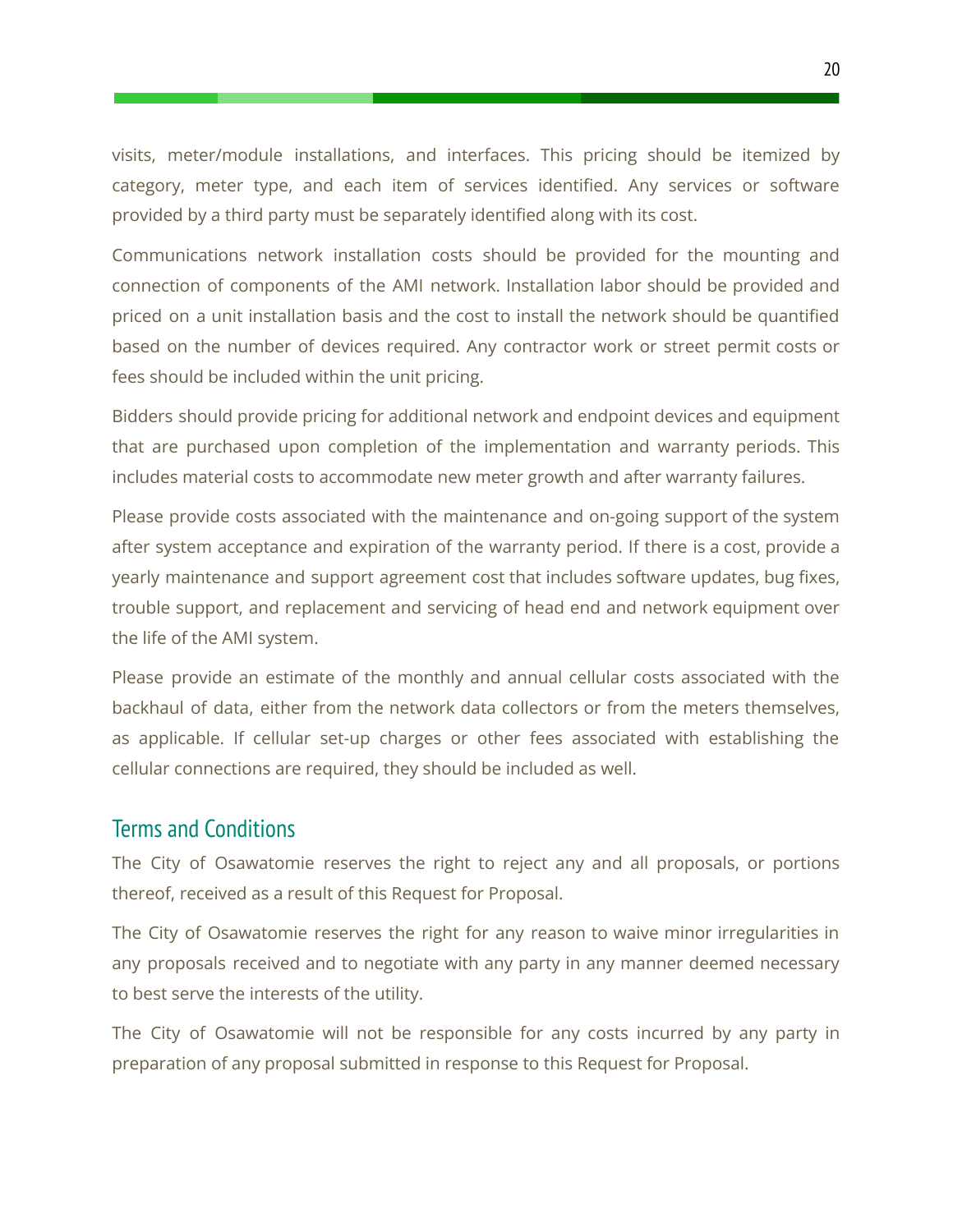visits, meter/module installations, and interfaces. This pricing should be itemized by category, meter type, and each item of services identified. Any services or software provided by a third party must be separately identified along with its cost.

Communications network installation costs should be provided for the mounting and connection of components of the AMI network. Installation labor should be provided and priced on a unit installation basis and the cost to install the network should be quantified based on the number of devices required. Any contractor work or street permit costs or fees should be included within the unit pricing.

Bidders should provide pricing for additional network and endpoint devices and equipment that are purchased upon completion of the implementation and warranty periods. This includes material costs to accommodate new meter growth and after warranty failures.

Please provide costs associated with the maintenance and on-going support of the system after system acceptance and expiration of the warranty period. If there is a cost, provide a yearly maintenance and support agreement cost that includes software updates, bug fixes, trouble support, and replacement and servicing of head end and network equipment over the life of the AMI system.

Please provide an estimate of the monthly and annual cellular costs associated with the backhaul of data, either from the network data collectors or from the meters themselves, as applicable. If cellular set-up charges or other fees associated with establishing the cellular connections are required, they should be included as well.

#### <span id="page-20-0"></span>Terms and Conditions

The City of Osawatomie reserves the right to reject any and all proposals, or portions thereof, received as a result of this Request for Proposal.

The City of Osawatomie reserves the right for any reason to waive minor irregularities in any proposals received and to negotiate with any party in any manner deemed necessary to best serve the interests of the utility.

The City of Osawatomie will not be responsible for any costs incurred by any party in preparation of any proposal submitted in response to this Request for Proposal.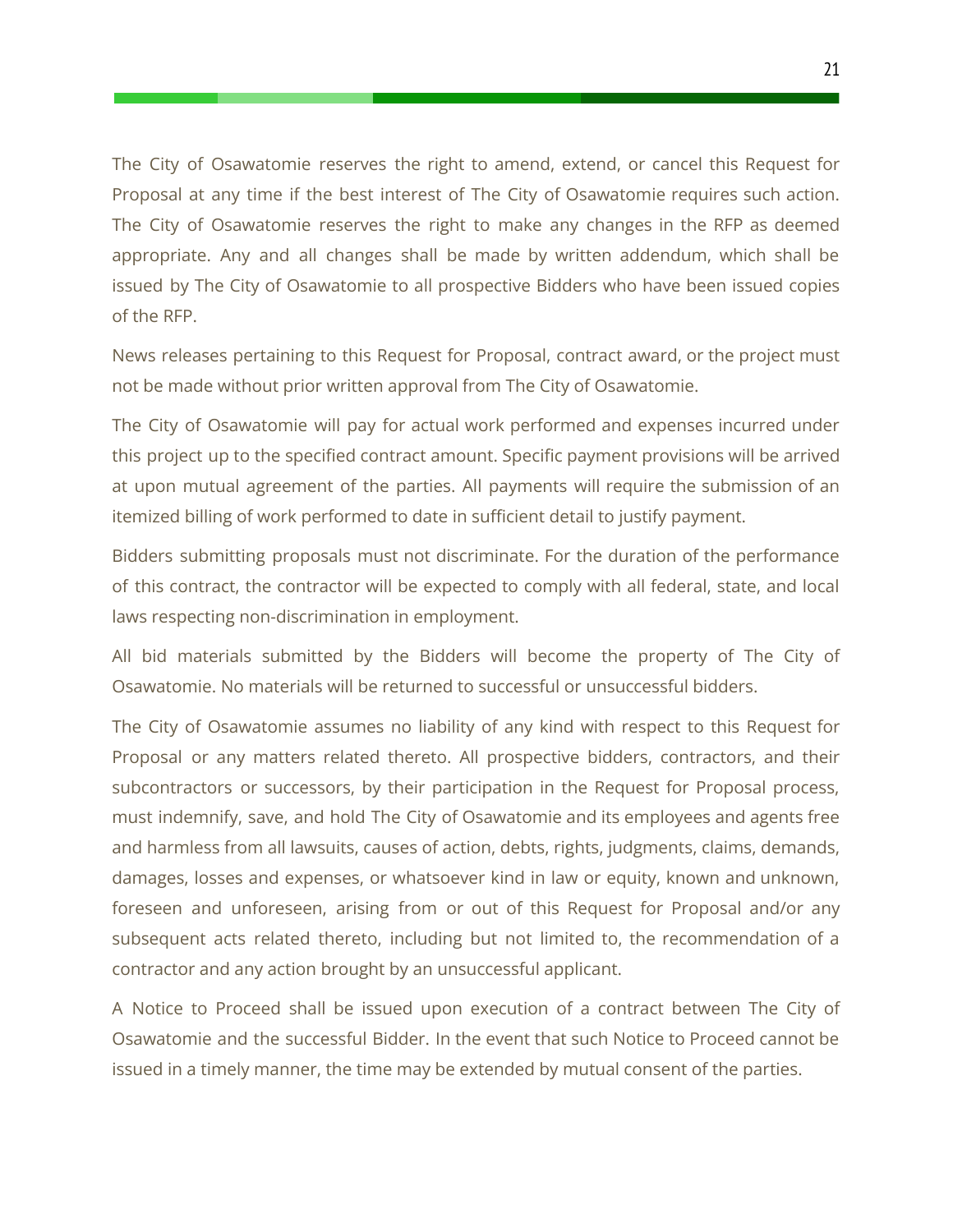The City of Osawatomie reserves the right to amend, extend, or cancel this Request for Proposal at any time if the best interest of The City of Osawatomie requires such action. The City of Osawatomie reserves the right to make any changes in the RFP as deemed appropriate. Any and all changes shall be made by written addendum, which shall be issued by The City of Osawatomie to all prospective Bidders who have been issued copies of the RFP.

News releases pertaining to this Request for Proposal, contract award, or the project must not be made without prior written approval from The City of Osawatomie.

The City of Osawatomie will pay for actual work performed and expenses incurred under this project up to the specified contract amount. Specific payment provisions will be arrived at upon mutual agreement of the parties. All payments will require the submission of an itemized billing of work performed to date in sufficient detail to justify payment.

Bidders submitting proposals must not discriminate. For the duration of the performance of this contract, the contractor will be expected to comply with all federal, state, and local laws respecting non-discrimination in employment.

All bid materials submitted by the Bidders will become the property of The City of Osawatomie. No materials will be returned to successful or unsuccessful bidders.

The City of Osawatomie assumes no liability of any kind with respect to this Request for Proposal or any matters related thereto. All prospective bidders, contractors, and their subcontractors or successors, by their participation in the Request for Proposal process, must indemnify, save, and hold The City of Osawatomie and its employees and agents free and harmless from all lawsuits, causes of action, debts, rights, judgments, claims, demands, damages, losses and expenses, or whatsoever kind in law or equity, known and unknown, foreseen and unforeseen, arising from or out of this Request for Proposal and/or any subsequent acts related thereto, including but not limited to, the recommendation of a contractor and any action brought by an unsuccessful applicant.

A Notice to Proceed shall be issued upon execution of a contract between The City of Osawatomie and the successful Bidder. In the event that such Notice to Proceed cannot be issued in a timely manner, the time may be extended by mutual consent of the parties.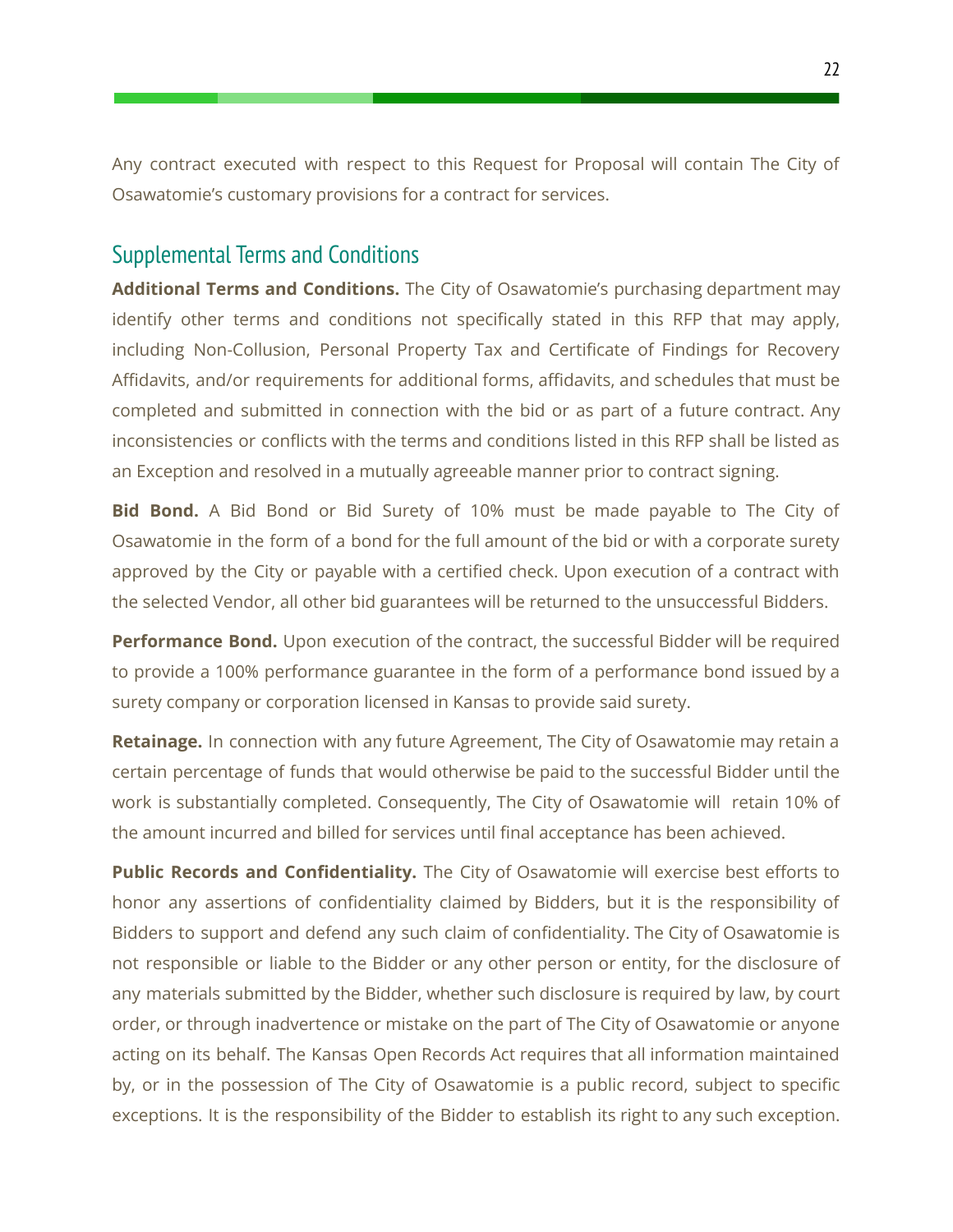Any contract executed with respect to this Request for Proposal will contain The City of Osawatomie's customary provisions for a contract for services.

### <span id="page-22-0"></span>Supplemental Terms and Conditions

**Additional Terms and Conditions.** The City of Osawatomie's purchasing department may identify other terms and conditions not specifically stated in this RFP that may apply, including Non-Collusion, Personal Property Tax and Certificate of Findings for Recovery Affidavits, and/or requirements for additional forms, affidavits, and schedules that must be completed and submitted in connection with the bid or as part of a future contract. Any inconsistencies or conflicts with the terms and conditions listed in this RFP shall be listed as an Exception and resolved in a mutually agreeable manner prior to contract signing.

**Bid Bond.** A Bid Bond or Bid Surety of 10% must be made payable to The City of Osawatomie in the form of a bond for the full amount of the bid or with a corporate surety approved by the City or payable with a certified check. Upon execution of a contract with the selected Vendor, all other bid guarantees will be returned to the unsuccessful Bidders.

**Performance Bond.** Upon execution of the contract, the successful Bidder will be required to provide a 100% performance guarantee in the form of a performance bond issued by a surety company or corporation licensed in Kansas to provide said surety.

**Retainage.** In connection with any future Agreement, The City of Osawatomie may retain a certain percentage of funds that would otherwise be paid to the successful Bidder until the work is substantially completed. Consequently, The City of Osawatomie will retain 10% of the amount incurred and billed for services until final acceptance has been achieved.

**Public Records and Confidentiality.** The City of Osawatomie will exercise best efforts to honor any assertions of confidentiality claimed by Bidders, but it is the responsibility of Bidders to support and defend any such claim of confidentiality. The City of Osawatomie is not responsible or liable to the Bidder or any other person or entity, for the disclosure of any materials submitted by the Bidder, whether such disclosure is required by law, by court order, or through inadvertence or mistake on the part of The City of Osawatomie or anyone acting on its behalf. The Kansas Open Records Act requires that all information maintained by, or in the possession of The City of Osawatomie is a public record, subject to specific exceptions. It is the responsibility of the Bidder to establish its right to any such exception.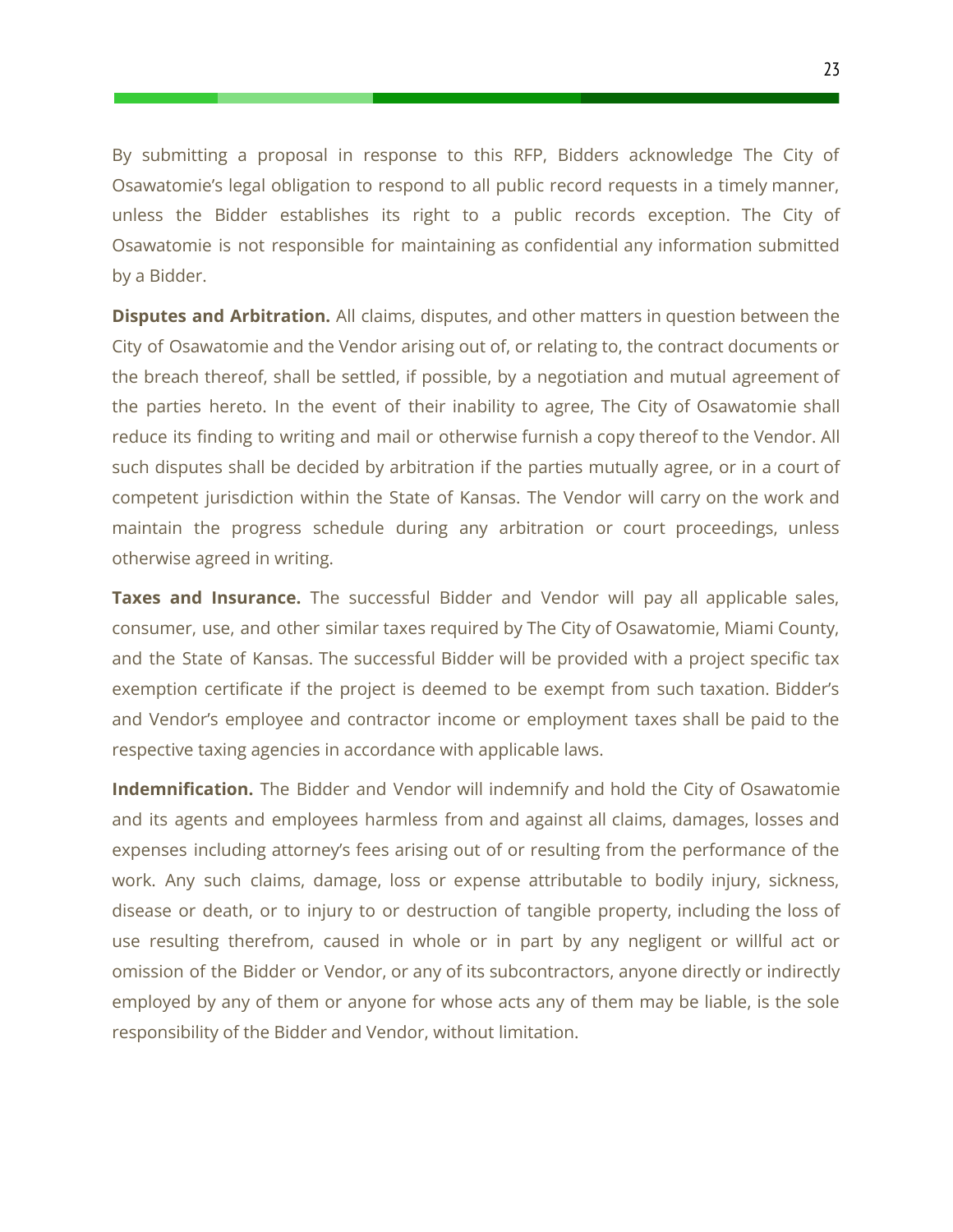By submitting a proposal in response to this RFP, Bidders acknowledge The City of Osawatomie's legal obligation to respond to all public record requests in a timely manner, unless the Bidder establishes its right to a public records exception. The City of Osawatomie is not responsible for maintaining as confidential any information submitted by a Bidder.

**Disputes and Arbitration.** All claims, disputes, and other matters in question between the City of Osawatomie and the Vendor arising out of, or relating to, the contract documents or the breach thereof, shall be settled, if possible, by a negotiation and mutual agreement of the parties hereto. In the event of their inability to agree, The City of Osawatomie shall reduce its finding to writing and mail or otherwise furnish a copy thereof to the Vendor. All such disputes shall be decided by arbitration if the parties mutually agree, or in a court of competent jurisdiction within the State of Kansas. The Vendor will carry on the work and maintain the progress schedule during any arbitration or court proceedings, unless otherwise agreed in writing.

**Taxes and Insurance.** The successful Bidder and Vendor will pay all applicable sales, consumer, use, and other similar taxes required by The City of Osawatomie, Miami County, and the State of Kansas. The successful Bidder will be provided with a project specific tax exemption certificate if the project is deemed to be exempt from such taxation. Bidder's and Vendor's employee and contractor income or employment taxes shall be paid to the respective taxing agencies in accordance with applicable laws.

**Indemnification.** The Bidder and Vendor will indemnify and hold the City of Osawatomie and its agents and employees harmless from and against all claims, damages, losses and expenses including attorney's fees arising out of or resulting from the performance of the work. Any such claims, damage, loss or expense attributable to bodily injury, sickness, disease or death, or to injury to or destruction of tangible property, including the loss of use resulting therefrom, caused in whole or in part by any negligent or willful act or omission of the Bidder or Vendor, or any of its subcontractors, anyone directly or indirectly employed by any of them or anyone for whose acts any of them may be liable, is the sole responsibility of the Bidder and Vendor, without limitation.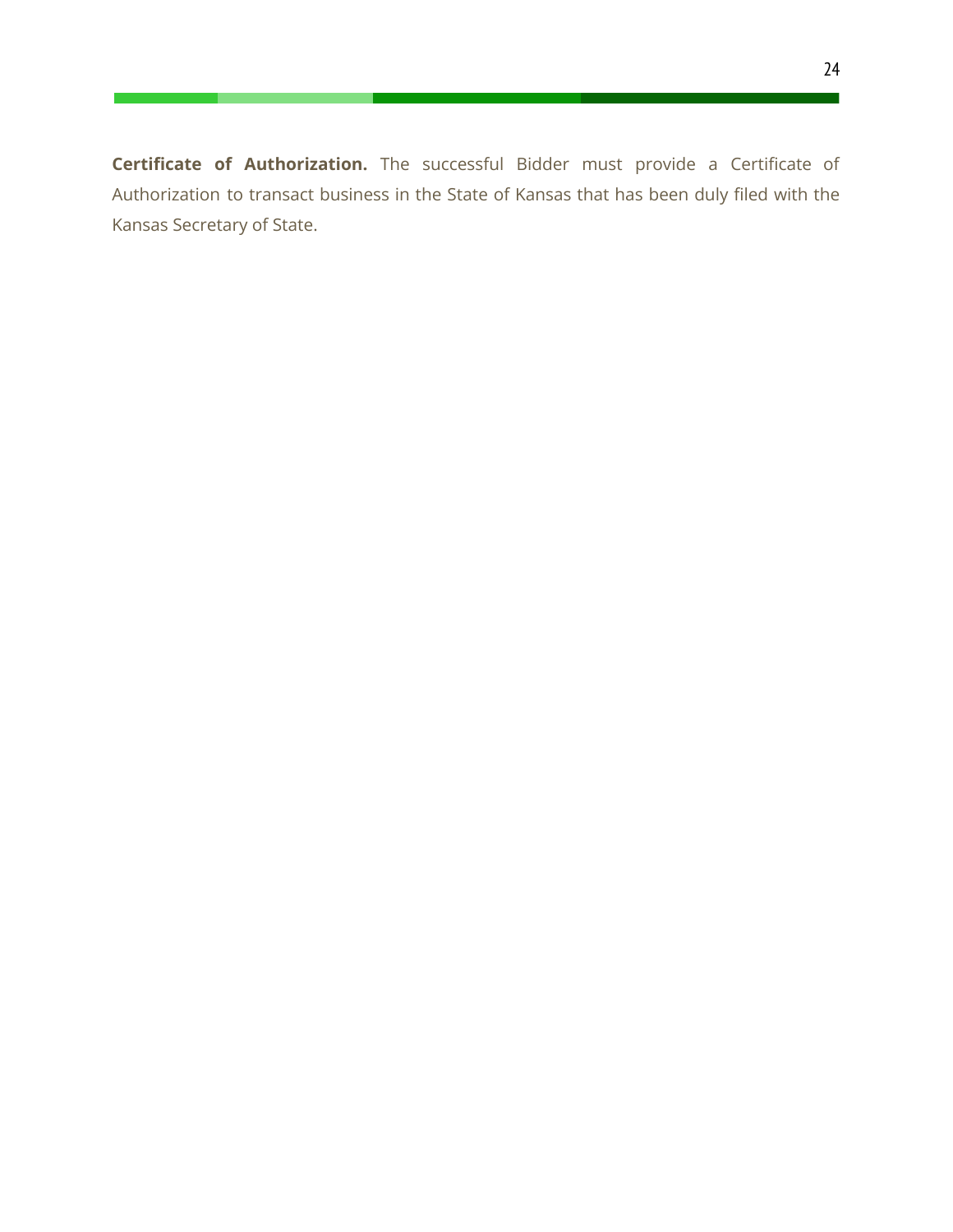**Certificate of Authorization.** The successful Bidder must provide a Certificate of Authorization to transact business in the State of Kansas that has been duly filed with the Kansas Secretary of State.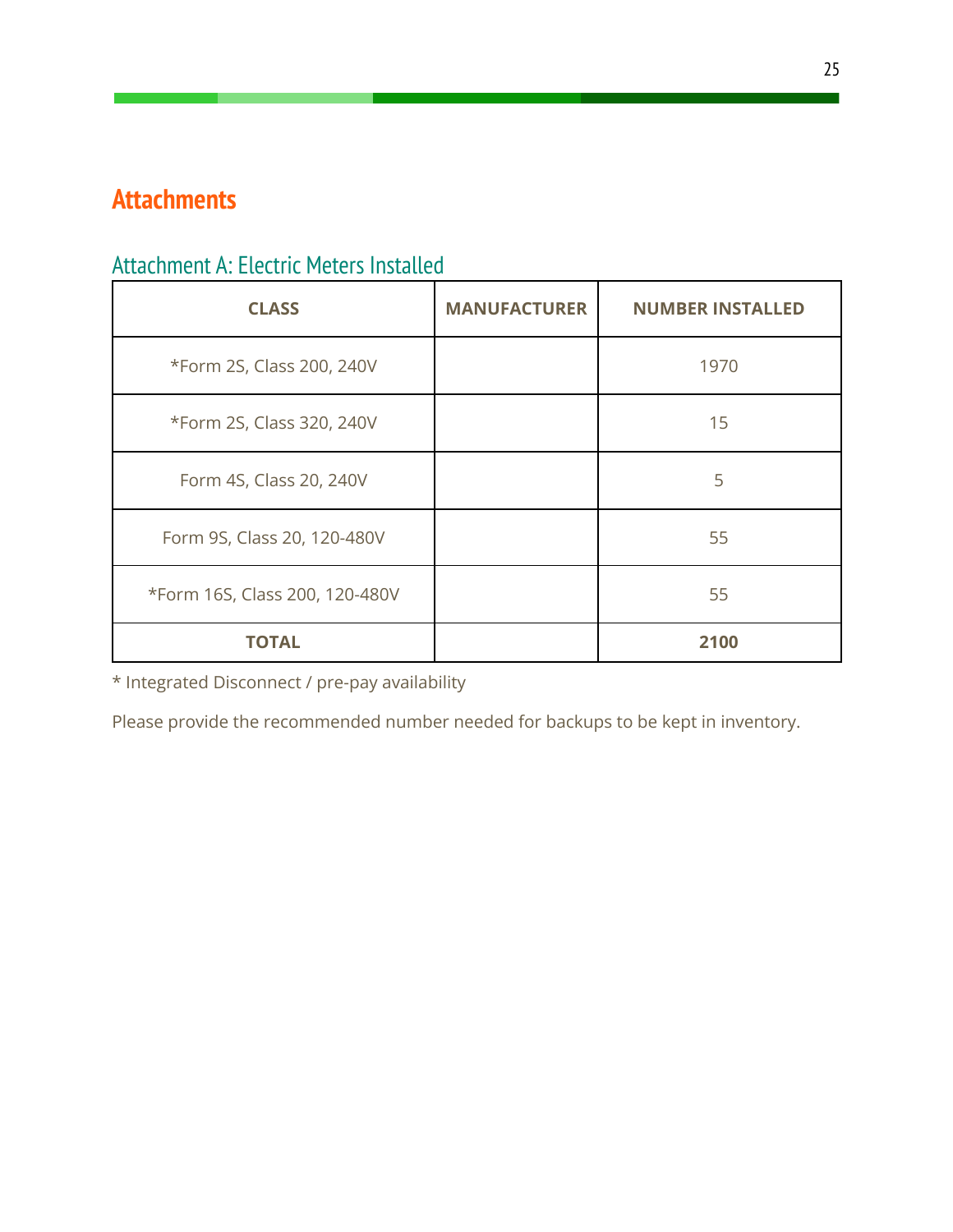# <span id="page-25-0"></span>**Attachments**

# <span id="page-25-1"></span>Attachment A: Electric Meters Installed

| <b>CLASS</b>                   | <b>MANUFACTURER</b> | <b>NUMBER INSTALLED</b> |
|--------------------------------|---------------------|-------------------------|
| *Form 2S, Class 200, 240V      |                     | 1970                    |
| *Form 2S, Class 320, 240V      |                     | 15                      |
| Form 4S, Class 20, 240V        |                     | 5                       |
| Form 9S, Class 20, 120-480V    |                     | 55                      |
| *Form 16S, Class 200, 120-480V |                     | 55                      |
| TOTAL                          |                     | 2100                    |

\* Integrated Disconnect / pre-pay availability

Please provide the recommended number needed for backups to be kept in inventory.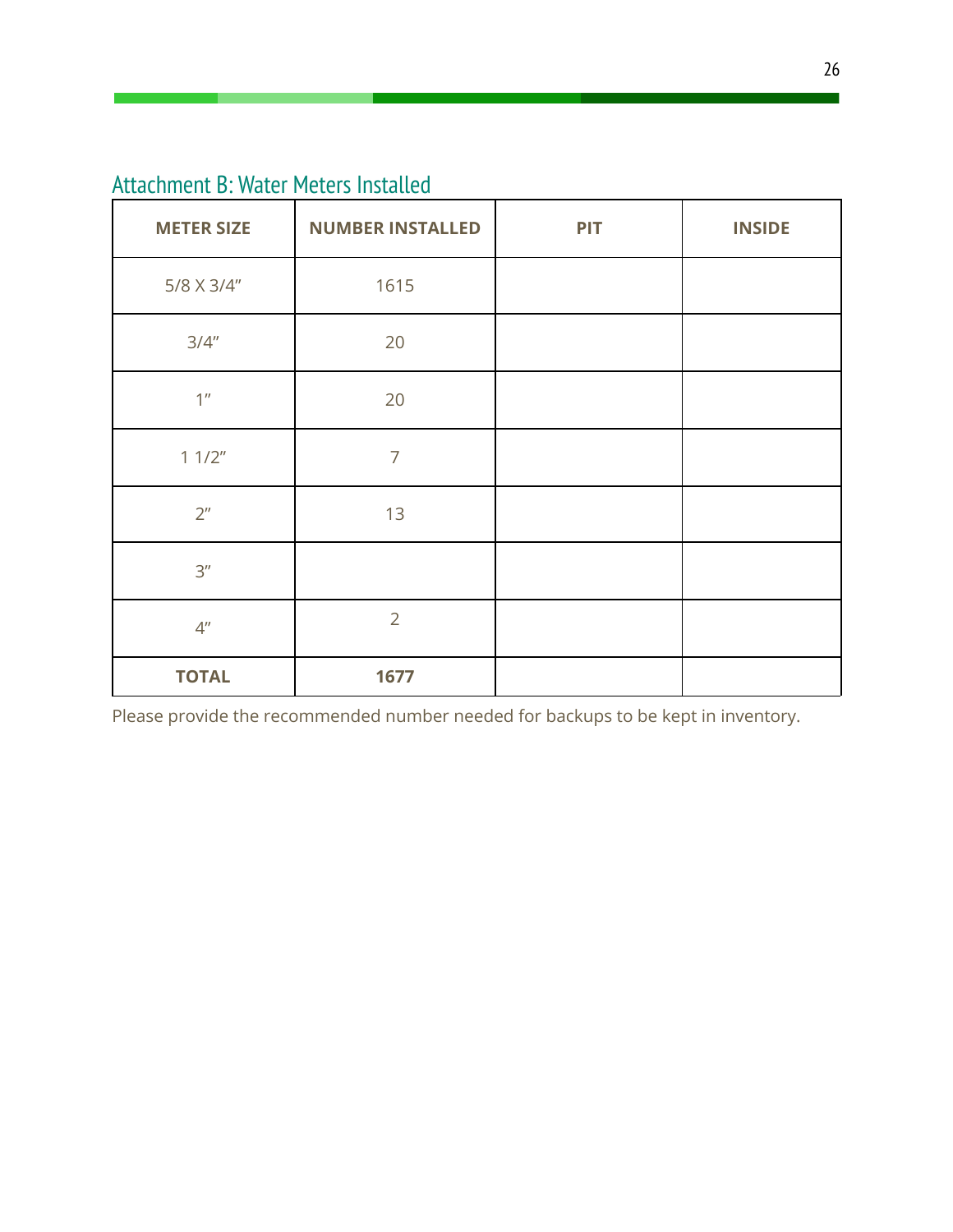<span id="page-26-0"></span>Attachment B: Water Meters Installed

| <b>METER SIZE</b> | <b>NUMBER INSTALLED</b> | <b>PIT</b> | <b>INSIDE</b> |
|-------------------|-------------------------|------------|---------------|
| 5/8 X 3/4"        | 1615                    |            |               |
| 3/4''             | 20                      |            |               |
| 1 <sup>n</sup>    | 20                      |            |               |
| 11/2"             | $\overline{7}$          |            |               |
| 2 <sup>n</sup>    | 13                      |            |               |
| 3''               |                         |            |               |
| 4 <sup>''</sup>   | $\overline{2}$          |            |               |
| <b>TOTAL</b>      | 1677                    |            |               |

Please provide the recommended number needed for backups to be kept in inventory.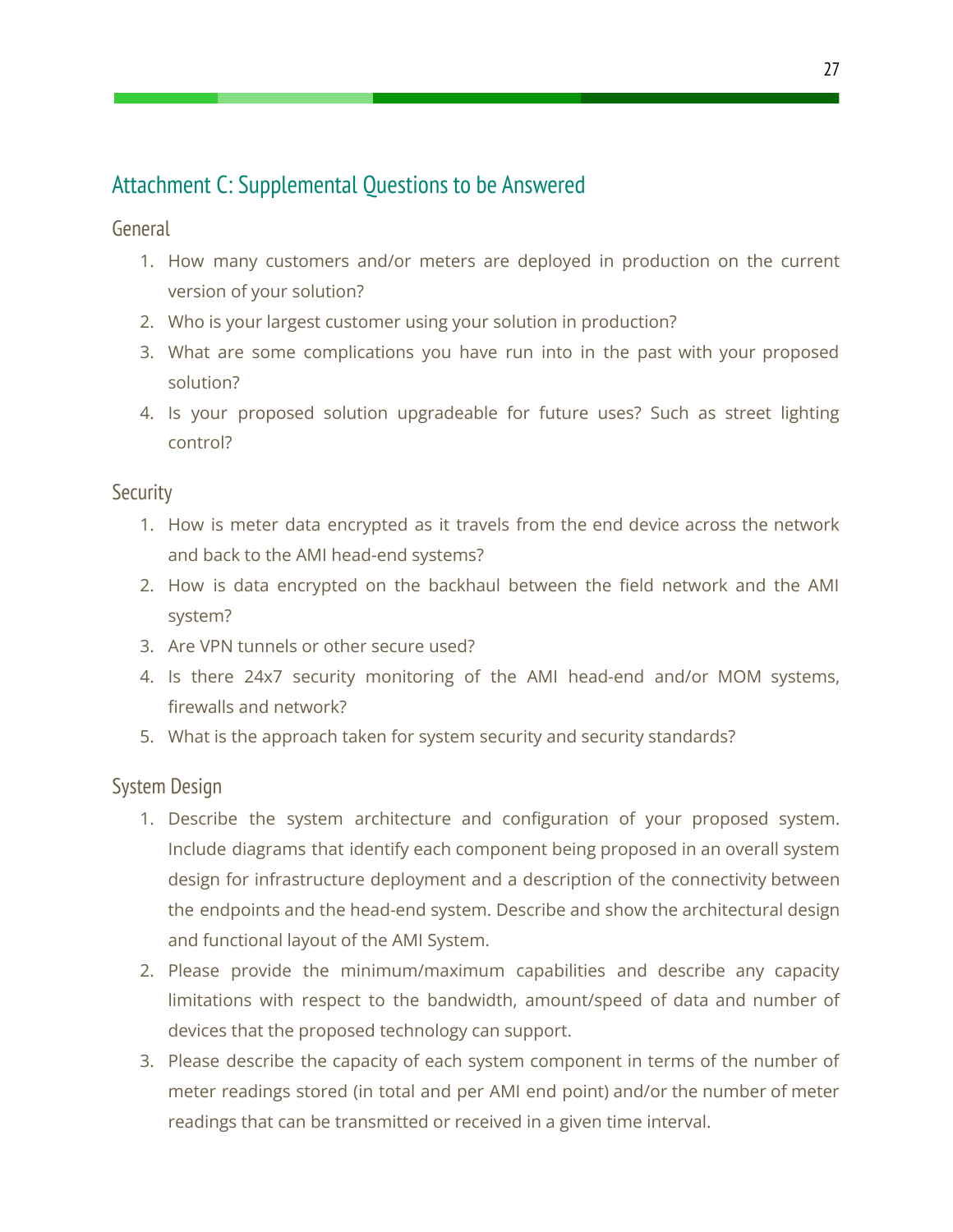# <span id="page-27-0"></span>Attachment C: Supplemental Questions to be Answered

<span id="page-27-1"></span>General

- 1. How many customers and/or meters are deployed in production on the current version of your solution?
- 2. Who is your largest customer using your solution in production?
- 3. What are some complications you have run into in the past with your proposed solution?
- 4. Is your proposed solution upgradeable for future uses? Such as street lighting control?

#### <span id="page-27-2"></span>**Security**

- 1. How is meter data encrypted as it travels from the end device across the network and back to the AMI head-end systems?
- 2. How is data encrypted on the backhaul between the field network and the AMI system?
- 3. Are VPN tunnels or other secure used?
- 4. Is there 24x7 security monitoring of the AMI head-end and/or MOM systems, firewalls and network?
- 5. What is the approach taken for system security and security standards?

#### <span id="page-27-3"></span>System Design

- 1. Describe the system architecture and configuration of your proposed system. Include diagrams that identify each component being proposed in an overall system design for infrastructure deployment and a description of the connectivity between the endpoints and the head-end system. Describe and show the architectural design and functional layout of the AMI System.
- 2. Please provide the minimum/maximum capabilities and describe any capacity limitations with respect to the bandwidth, amount/speed of data and number of devices that the proposed technology can support.
- 3. Please describe the capacity of each system component in terms of the number of meter readings stored (in total and per AMI end point) and/or the number of meter readings that can be transmitted or received in a given time interval.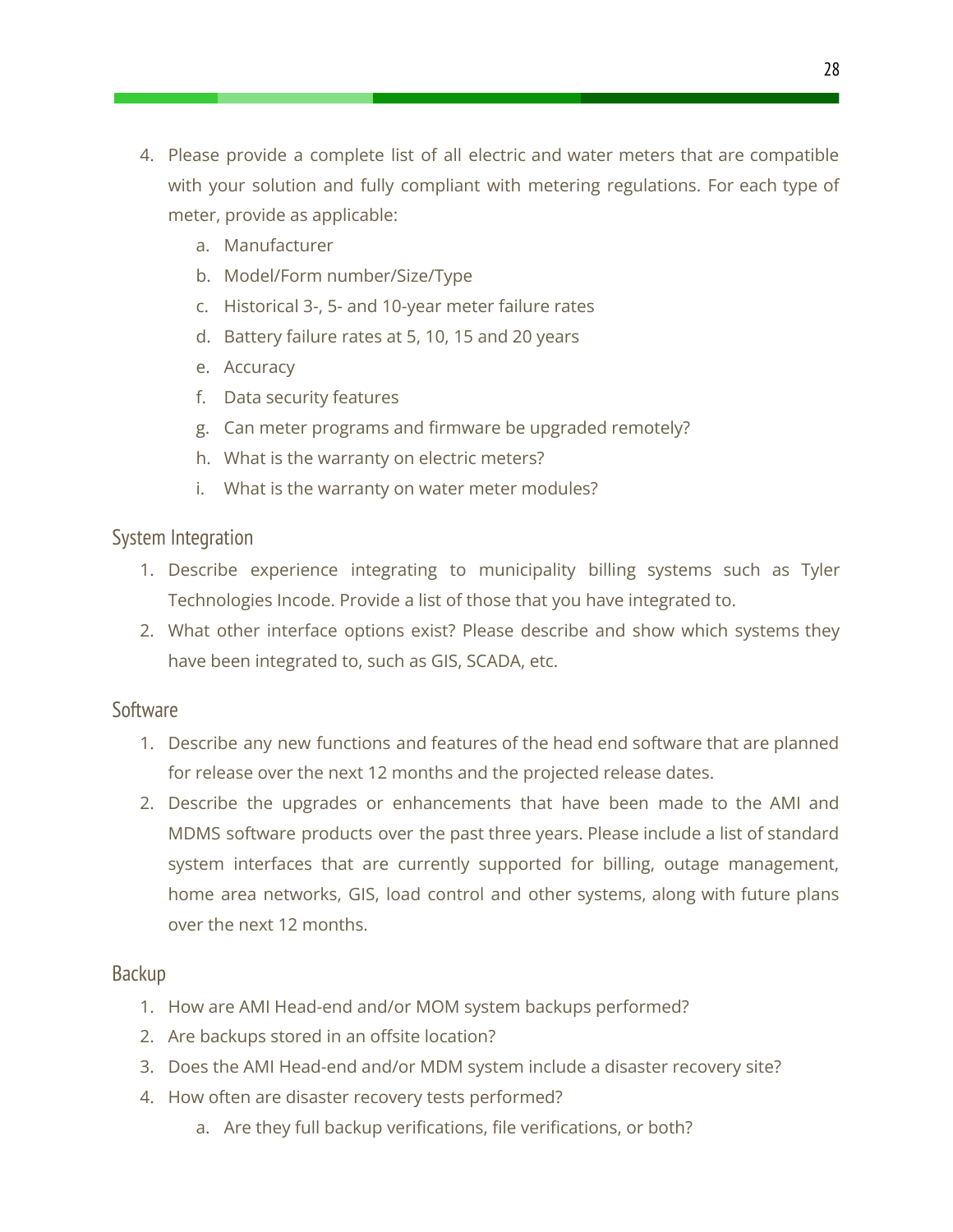- 4. Please provide a complete list of all electric and water meters that are compatible with your solution and fully compliant with metering regulations. For each type of meter, provide as applicable:
	- a. Manufacturer
	- b. Model/Form number/Size/Type
	- c. Historical 3-, 5- and 10-year meter failure rates
	- d. Battery failure rates at 5, 10, 15 and 20 years
	- e. Accuracy
	- f. Data security features
	- g. Can meter programs and firmware be upgraded remotely?
	- h. What is the warranty on electric meters?
	- i. What is the warranty on water meter modules?

#### <span id="page-28-0"></span>System Integration

- 1. Describe experience integrating to municipality billing systems such as Tyler Technologies Incode. Provide a list of those that you have integrated to.
- 2. What other interface options exist? Please describe and show which systems they have been integrated to, such as GIS, SCADA, etc.

#### <span id="page-28-1"></span>Software

- 1. Describe any new functions and features of the head end software that are planned for release over the next 12 months and the projected release dates.
- 2. Describe the upgrades or enhancements that have been made to the AMI and MDMS software products over the past three years. Please include a list of standard system interfaces that are currently supported for billing, outage management, home area networks, GIS, load control and other systems, along with future plans over the next 12 months.

#### <span id="page-28-2"></span>Backup

- 1. How are AMI Head-end and/or MOM system backups performed?
- 2. Are backups stored in an offsite location?
- 3. Does the AMI Head-end and/or MDM system include a disaster recovery site?
- 4. How often are disaster recovery tests performed?
	- a. Are they full backup verifications, file verifications, or both?